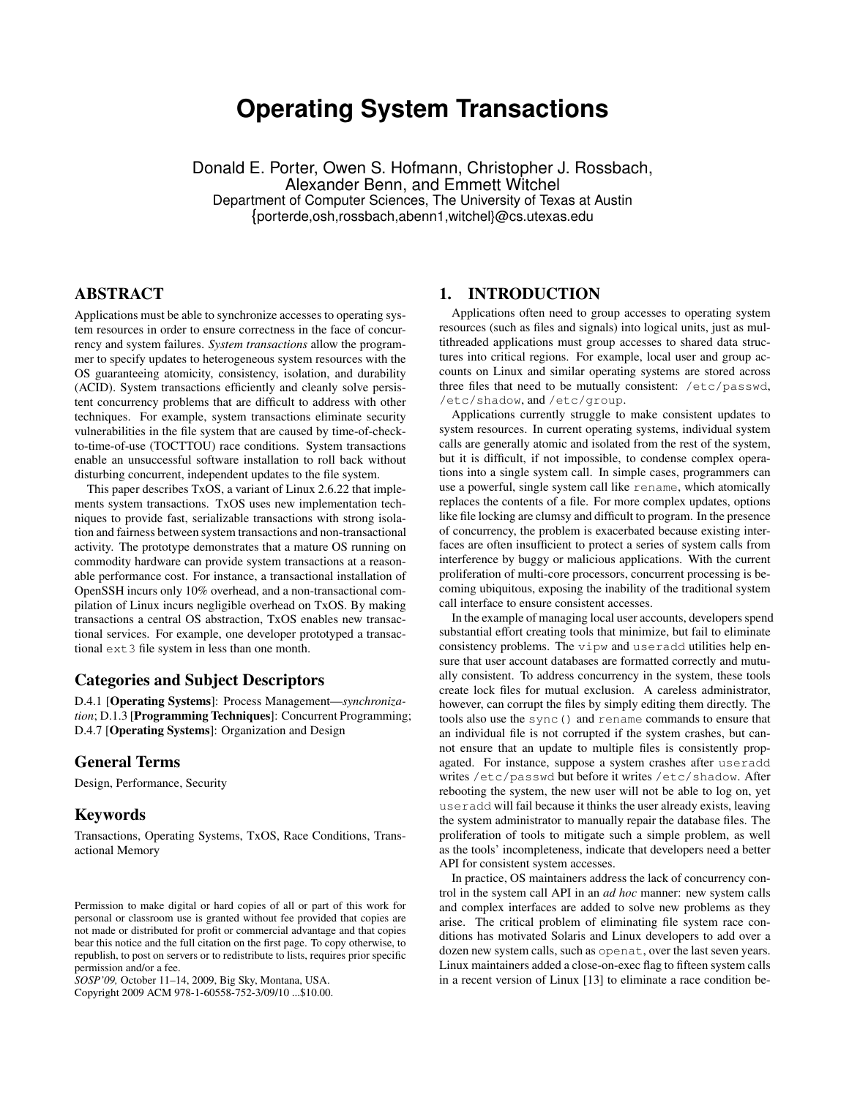# **Operating System Transactions**

Donald E. Porter, Owen S. Hofmann, Christopher J. Rossbach, Alexander Benn, and Emmett Witchel Department of Computer Sciences, The University of Texas at Austin {porterde,osh,rossbach,abenn1,witchel}@cs.utexas.edu

# ABSTRACT

Applications must be able to synchronize accesses to operating system resources in order to ensure correctness in the face of concurrency and system failures. *System transactions* allow the programmer to specify updates to heterogeneous system resources with the OS guaranteeing atomicity, consistency, isolation, and durability (ACID). System transactions efficiently and cleanly solve persistent concurrency problems that are difficult to address with other techniques. For example, system transactions eliminate security vulnerabilities in the file system that are caused by time-of-checkto-time-of-use (TOCTTOU) race conditions. System transactions enable an unsuccessful software installation to roll back without disturbing concurrent, independent updates to the file system.

This paper describes TxOS, a variant of Linux 2.6.22 that implements system transactions. TxOS uses new implementation techniques to provide fast, serializable transactions with strong isolation and fairness between system transactions and non-transactional activity. The prototype demonstrates that a mature OS running on commodity hardware can provide system transactions at a reasonable performance cost. For instance, a transactional installation of OpenSSH incurs only 10% overhead, and a non-transactional compilation of Linux incurs negligible overhead on TxOS. By making transactions a central OS abstraction, TxOS enables new transactional services. For example, one developer prototyped a transactional ext3 file system in less than one month.

### Categories and Subject Descriptors

D.4.1 [Operating Systems]: Process Management—*synchronization*; D.1.3 [Programming Techniques]: Concurrent Programming; D.4.7 [Operating Systems]: Organization and Design

### General Terms

Design, Performance, Security

### Keywords

Transactions, Operating Systems, TxOS, Race Conditions, Transactional Memory

Copyright 2009 ACM 978-1-60558-752-3/09/10 ...\$10.00.

# 1. INTRODUCTION

Applications often need to group accesses to operating system resources (such as files and signals) into logical units, just as multithreaded applications must group accesses to shared data structures into critical regions. For example, local user and group accounts on Linux and similar operating systems are stored across three files that need to be mutually consistent: /etc/passwd, /etc/shadow, and /etc/group.

Applications currently struggle to make consistent updates to system resources. In current operating systems, individual system calls are generally atomic and isolated from the rest of the system, but it is difficult, if not impossible, to condense complex operations into a single system call. In simple cases, programmers can use a powerful, single system call like rename, which atomically replaces the contents of a file. For more complex updates, options like file locking are clumsy and difficult to program. In the presence of concurrency, the problem is exacerbated because existing interfaces are often insufficient to protect a series of system calls from interference by buggy or malicious applications. With the current proliferation of multi-core processors, concurrent processing is becoming ubiquitous, exposing the inability of the traditional system call interface to ensure consistent accesses.

In the example of managing local user accounts, developers spend substantial effort creating tools that minimize, but fail to eliminate consistency problems. The vipw and useradd utilities help ensure that user account databases are formatted correctly and mutually consistent. To address concurrency in the system, these tools create lock files for mutual exclusion. A careless administrator, however, can corrupt the files by simply editing them directly. The tools also use the sync() and rename commands to ensure that an individual file is not corrupted if the system crashes, but cannot ensure that an update to multiple files is consistently propagated. For instance, suppose a system crashes after useradd writes /etc/passwd but before it writes /etc/shadow. After rebooting the system, the new user will not be able to log on, yet useradd will fail because it thinks the user already exists, leaving the system administrator to manually repair the database files. The proliferation of tools to mitigate such a simple problem, as well as the tools' incompleteness, indicate that developers need a better API for consistent system accesses.

In practice, OS maintainers address the lack of concurrency control in the system call API in an *ad hoc* manner: new system calls and complex interfaces are added to solve new problems as they arise. The critical problem of eliminating file system race conditions has motivated Solaris and Linux developers to add over a dozen new system calls, such as openat, over the last seven years. Linux maintainers added a close-on-exec flag to fifteen system calls in a recent version of Linux [13] to eliminate a race condition be-

Permission to make digital or hard copies of all or part of this work for personal or classroom use is granted without fee provided that copies are not made or distributed for profit or commercial advantage and that copies bear this notice and the full citation on the first page. To copy otherwise, to republish, to post on servers or to redistribute to lists, requires prior specific permission and/or a fee.

*SOSP'09,* October 11–14, 2009, Big Sky, Montana, USA.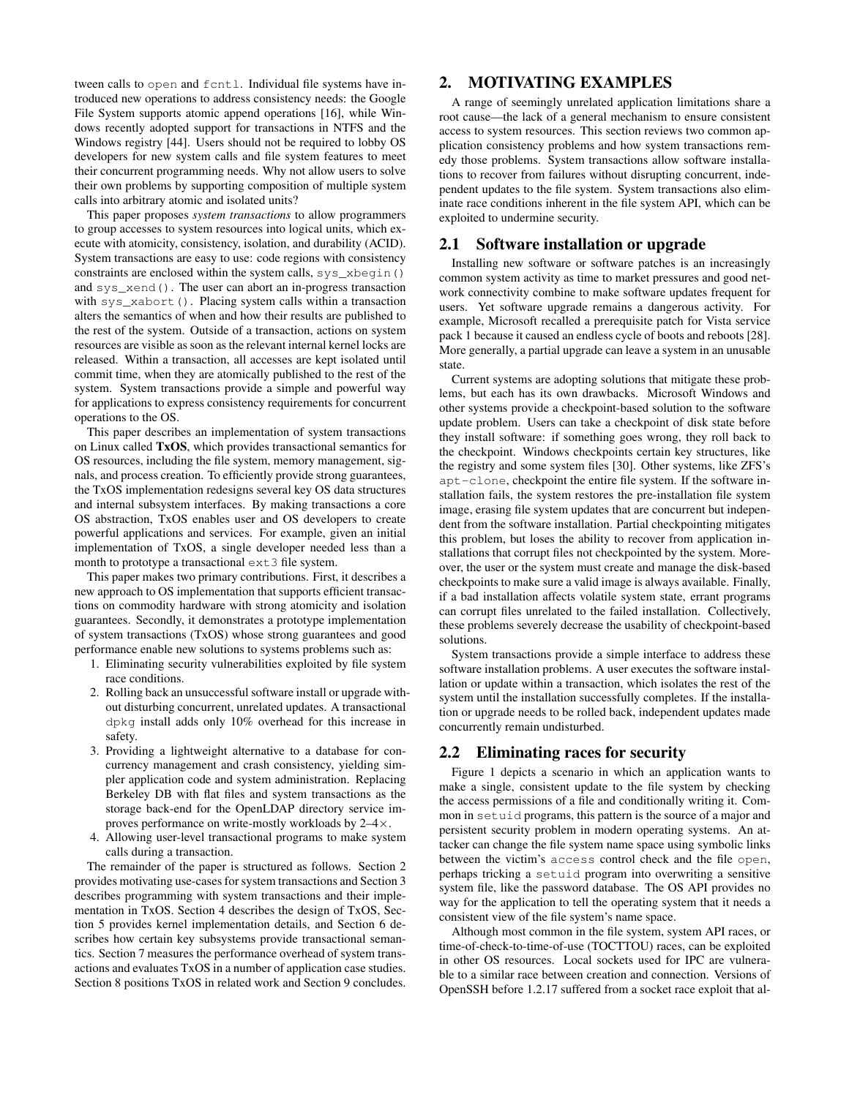tween calls to open and fcntl. Individual file systems have introduced new operations to address consistency needs: the Google File System supports atomic append operations [16], while Windows recently adopted support for transactions in NTFS and the Windows registry [44]. Users should not be required to lobby OS developers for new system calls and file system features to meet their concurrent programming needs. Why not allow users to solve their own problems by supporting composition of multiple system calls into arbitrary atomic and isolated units?

This paper proposes *system transactions* to allow programmers to group accesses to system resources into logical units, which execute with atomicity, consistency, isolation, and durability (ACID). System transactions are easy to use: code regions with consistency constraints are enclosed within the system calls, sys\_xbegin() and sys\_xend(). The user can abort an in-progress transaction with sys\_xabort(). Placing system calls within a transaction alters the semantics of when and how their results are published to the rest of the system. Outside of a transaction, actions on system resources are visible as soon as the relevant internal kernel locks are released. Within a transaction, all accesses are kept isolated until commit time, when they are atomically published to the rest of the system. System transactions provide a simple and powerful way for applications to express consistency requirements for concurrent operations to the OS.

This paper describes an implementation of system transactions on Linux called TxOS, which provides transactional semantics for OS resources, including the file system, memory management, signals, and process creation. To efficiently provide strong guarantees, the TxOS implementation redesigns several key OS data structures and internal subsystem interfaces. By making transactions a core OS abstraction, TxOS enables user and OS developers to create powerful applications and services. For example, given an initial implementation of TxOS, a single developer needed less than a month to prototype a transactional  $ext{ext3}$  file system.

This paper makes two primary contributions. First, it describes a new approach to OS implementation that supports efficient transactions on commodity hardware with strong atomicity and isolation guarantees. Secondly, it demonstrates a prototype implementation of system transactions (TxOS) whose strong guarantees and good performance enable new solutions to systems problems such as:

- 1. Eliminating security vulnerabilities exploited by file system race conditions.
- 2. Rolling back an unsuccessful software install or upgrade without disturbing concurrent, unrelated updates. A transactional dpkg install adds only 10% overhead for this increase in safety.
- 3. Providing a lightweight alternative to a database for concurrency management and crash consistency, yielding simpler application code and system administration. Replacing Berkeley DB with flat files and system transactions as the storage back-end for the OpenLDAP directory service improves performance on write-mostly workloads by 2–4×.
- 4. Allowing user-level transactional programs to make system calls during a transaction.

The remainder of the paper is structured as follows. Section 2 provides motivating use-cases for system transactions and Section 3 describes programming with system transactions and their implementation in TxOS. Section 4 describes the design of TxOS, Section 5 provides kernel implementation details, and Section 6 describes how certain key subsystems provide transactional semantics. Section 7 measures the performance overhead of system transactions and evaluates TxOS in a number of application case studies. Section 8 positions TxOS in related work and Section 9 concludes.

# 2. MOTIVATING EXAMPLES

A range of seemingly unrelated application limitations share a root cause—the lack of a general mechanism to ensure consistent access to system resources. This section reviews two common application consistency problems and how system transactions remedy those problems. System transactions allow software installations to recover from failures without disrupting concurrent, independent updates to the file system. System transactions also eliminate race conditions inherent in the file system API, which can be exploited to undermine security.

# 2.1 Software installation or upgrade

Installing new software or software patches is an increasingly common system activity as time to market pressures and good network connectivity combine to make software updates frequent for users. Yet software upgrade remains a dangerous activity. For example, Microsoft recalled a prerequisite patch for Vista service pack 1 because it caused an endless cycle of boots and reboots [28]. More generally, a partial upgrade can leave a system in an unusable state.

Current systems are adopting solutions that mitigate these problems, but each has its own drawbacks. Microsoft Windows and other systems provide a checkpoint-based solution to the software update problem. Users can take a checkpoint of disk state before they install software: if something goes wrong, they roll back to the checkpoint. Windows checkpoints certain key structures, like the registry and some system files [30]. Other systems, like ZFS's apt-clone, checkpoint the entire file system. If the software installation fails, the system restores the pre-installation file system image, erasing file system updates that are concurrent but independent from the software installation. Partial checkpointing mitigates this problem, but loses the ability to recover from application installations that corrupt files not checkpointed by the system. Moreover, the user or the system must create and manage the disk-based checkpoints to make sure a valid image is always available. Finally, if a bad installation affects volatile system state, errant programs can corrupt files unrelated to the failed installation. Collectively, these problems severely decrease the usability of checkpoint-based solutions.

System transactions provide a simple interface to address these software installation problems. A user executes the software installation or update within a transaction, which isolates the rest of the system until the installation successfully completes. If the installation or upgrade needs to be rolled back, independent updates made concurrently remain undisturbed.

### 2.2 Eliminating races for security

Figure 1 depicts a scenario in which an application wants to make a single, consistent update to the file system by checking the access permissions of a file and conditionally writing it. Common in setuid programs, this pattern is the source of a major and persistent security problem in modern operating systems. An attacker can change the file system name space using symbolic links between the victim's access control check and the file open, perhaps tricking a setuid program into overwriting a sensitive system file, like the password database. The OS API provides no way for the application to tell the operating system that it needs a consistent view of the file system's name space.

Although most common in the file system, system API races, or time-of-check-to-time-of-use (TOCTTOU) races, can be exploited in other OS resources. Local sockets used for IPC are vulnerable to a similar race between creation and connection. Versions of OpenSSH before 1.2.17 suffered from a socket race exploit that al-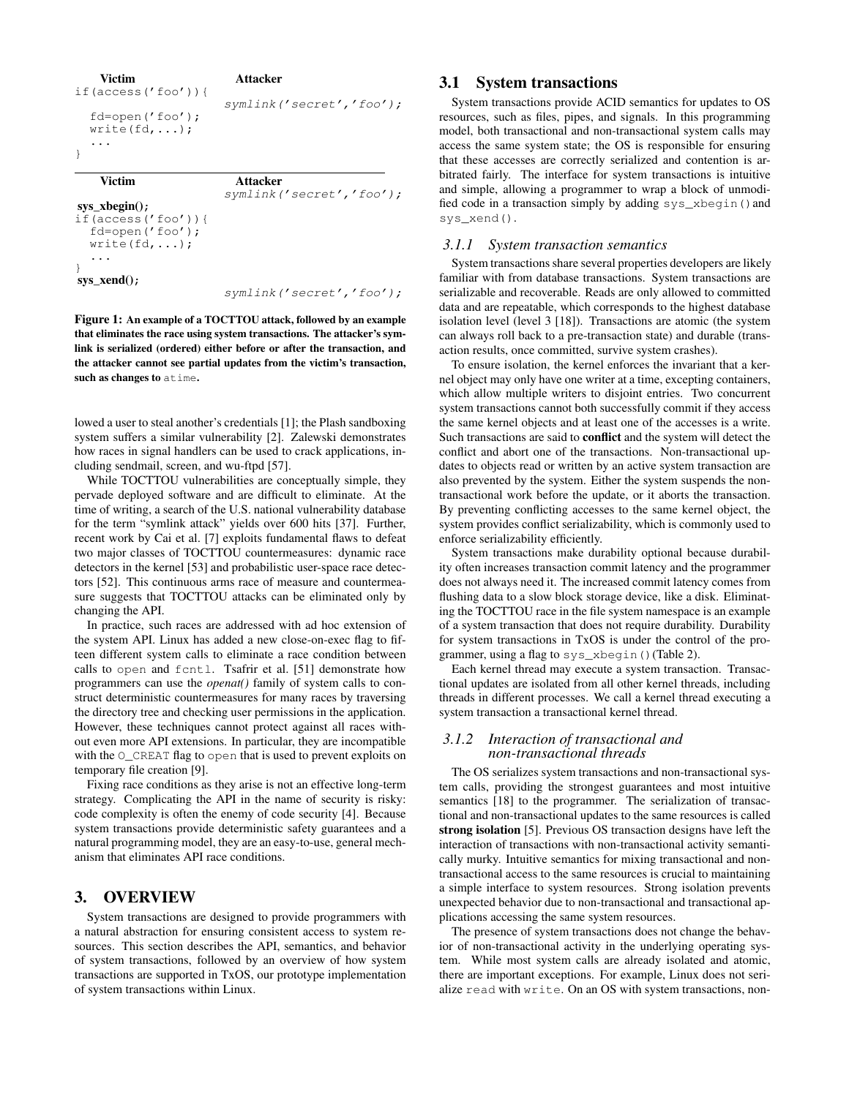```
Victim Attacker
if(access('foo')){
                   symlink('secret','foo');
  fd=open('foo');
 write(fd,...);
  ...
}
   Victim Attacker
                   symlink('secret','foo');
sys_xbegin();
if(access('foo')){
 fd=open('foo');
```
... sys\_xend(); symlink('secret','foo');

write $(fd, \ldots)$ ;

}

Figure 1: An example of a TOCTTOU attack, followed by an example that eliminates the race using system transactions. The attacker's symlink is serialized (ordered) either before or after the transaction, and the attacker cannot see partial updates from the victim's transaction, such as changes to atime.

lowed a user to steal another's credentials [1]; the Plash sandboxing system suffers a similar vulnerability [2]. Zalewski demonstrates how races in signal handlers can be used to crack applications, including sendmail, screen, and wu-ftpd [57].

While TOCTTOU vulnerabilities are conceptually simple, they pervade deployed software and are difficult to eliminate. At the time of writing, a search of the U.S. national vulnerability database for the term "symlink attack" yields over 600 hits [37]. Further, recent work by Cai et al. [7] exploits fundamental flaws to defeat two major classes of TOCTTOU countermeasures: dynamic race detectors in the kernel [53] and probabilistic user-space race detectors [52]. This continuous arms race of measure and countermeasure suggests that TOCTTOU attacks can be eliminated only by changing the API.

In practice, such races are addressed with ad hoc extension of the system API. Linux has added a new close-on-exec flag to fifteen different system calls to eliminate a race condition between calls to open and fcntl. Tsafrir et al. [51] demonstrate how programmers can use the *openat()* family of system calls to construct deterministic countermeasures for many races by traversing the directory tree and checking user permissions in the application. However, these techniques cannot protect against all races without even more API extensions. In particular, they are incompatible with the O\_CREAT flag to open that is used to prevent exploits on temporary file creation [9].

Fixing race conditions as they arise is not an effective long-term strategy. Complicating the API in the name of security is risky: code complexity is often the enemy of code security [4]. Because system transactions provide deterministic safety guarantees and a natural programming model, they are an easy-to-use, general mechanism that eliminates API race conditions.

# 3. OVERVIEW

System transactions are designed to provide programmers with a natural abstraction for ensuring consistent access to system resources. This section describes the API, semantics, and behavior of system transactions, followed by an overview of how system transactions are supported in TxOS, our prototype implementation of system transactions within Linux.

# 3.1 System transactions

System transactions provide ACID semantics for updates to OS resources, such as files, pipes, and signals. In this programming model, both transactional and non-transactional system calls may access the same system state; the OS is responsible for ensuring that these accesses are correctly serialized and contention is arbitrated fairly. The interface for system transactions is intuitive and simple, allowing a programmer to wrap a block of unmodified code in a transaction simply by adding sys\_xbegin()and sys\_xend().

# *3.1.1 System transaction semantics*

System transactions share several properties developers are likely familiar with from database transactions. System transactions are serializable and recoverable. Reads are only allowed to committed data and are repeatable, which corresponds to the highest database isolation level (level 3 [18]). Transactions are atomic (the system can always roll back to a pre-transaction state) and durable (transaction results, once committed, survive system crashes).

To ensure isolation, the kernel enforces the invariant that a kernel object may only have one writer at a time, excepting containers, which allow multiple writers to disjoint entries. Two concurrent system transactions cannot both successfully commit if they access the same kernel objects and at least one of the accesses is a write. Such transactions are said to conflict and the system will detect the conflict and abort one of the transactions. Non-transactional updates to objects read or written by an active system transaction are also prevented by the system. Either the system suspends the nontransactional work before the update, or it aborts the transaction. By preventing conflicting accesses to the same kernel object, the system provides conflict serializability, which is commonly used to enforce serializability efficiently.

System transactions make durability optional because durability often increases transaction commit latency and the programmer does not always need it. The increased commit latency comes from flushing data to a slow block storage device, like a disk. Eliminating the TOCTTOU race in the file system namespace is an example of a system transaction that does not require durability. Durability for system transactions in TxOS is under the control of the programmer, using a flag to sys\_xbegin()(Table 2).

Each kernel thread may execute a system transaction. Transactional updates are isolated from all other kernel threads, including threads in different processes. We call a kernel thread executing a system transaction a transactional kernel thread.

# *3.1.2 Interaction of transactional and non-transactional threads*

The OS serializes system transactions and non-transactional system calls, providing the strongest guarantees and most intuitive semantics [18] to the programmer. The serialization of transactional and non-transactional updates to the same resources is called strong isolation [5]. Previous OS transaction designs have left the interaction of transactions with non-transactional activity semantically murky. Intuitive semantics for mixing transactional and nontransactional access to the same resources is crucial to maintaining a simple interface to system resources. Strong isolation prevents unexpected behavior due to non-transactional and transactional applications accessing the same system resources.

The presence of system transactions does not change the behavior of non-transactional activity in the underlying operating system. While most system calls are already isolated and atomic, there are important exceptions. For example, Linux does not serialize read with write. On an OS with system transactions, non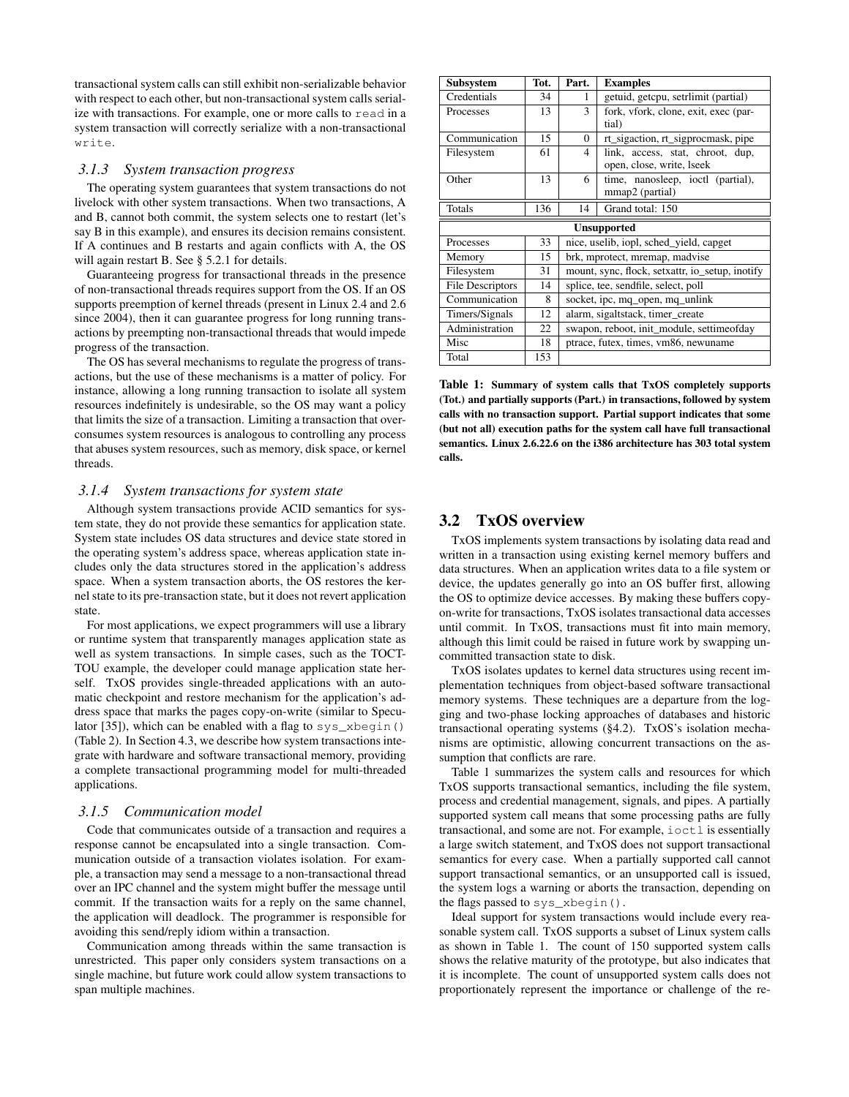transactional system calls can still exhibit non-serializable behavior with respect to each other, but non-transactional system calls serialize with transactions. For example, one or more calls to read in a system transaction will correctly serialize with a non-transactional write.

#### *3.1.3 System transaction progress*

The operating system guarantees that system transactions do not livelock with other system transactions. When two transactions, A and B, cannot both commit, the system selects one to restart (let's say B in this example), and ensures its decision remains consistent. If A continues and B restarts and again conflicts with A, the OS will again restart B. See § 5.2.1 for details.

Guaranteeing progress for transactional threads in the presence of non-transactional threads requires support from the OS. If an OS supports preemption of kernel threads (present in Linux 2.4 and 2.6 since 2004), then it can guarantee progress for long running transactions by preempting non-transactional threads that would impede progress of the transaction.

The OS has several mechanisms to regulate the progress of transactions, but the use of these mechanisms is a matter of policy. For instance, allowing a long running transaction to isolate all system resources indefinitely is undesirable, so the OS may want a policy that limits the size of a transaction. Limiting a transaction that overconsumes system resources is analogous to controlling any process that abuses system resources, such as memory, disk space, or kernel threads.

#### *3.1.4 System transactions for system state*

Although system transactions provide ACID semantics for system state, they do not provide these semantics for application state. System state includes OS data structures and device state stored in the operating system's address space, whereas application state includes only the data structures stored in the application's address space. When a system transaction aborts, the OS restores the kernel state to its pre-transaction state, but it does not revert application state.

For most applications, we expect programmers will use a library or runtime system that transparently manages application state as well as system transactions. In simple cases, such as the TOCT-TOU example, the developer could manage application state herself. TxOS provides single-threaded applications with an automatic checkpoint and restore mechanism for the application's address space that marks the pages copy-on-write (similar to Speculator  $[35]$ ), which can be enabled with a flag to sys\_xbegin() (Table 2). In Section 4.3, we describe how system transactions integrate with hardware and software transactional memory, providing a complete transactional programming model for multi-threaded applications.

#### *3.1.5 Communication model*

Code that communicates outside of a transaction and requires a response cannot be encapsulated into a single transaction. Communication outside of a transaction violates isolation. For example, a transaction may send a message to a non-transactional thread over an IPC channel and the system might buffer the message until commit. If the transaction waits for a reply on the same channel, the application will deadlock. The programmer is responsible for avoiding this send/reply idiom within a transaction.

Communication among threads within the same transaction is unrestricted. This paper only considers system transactions on a single machine, but future work could allow system transactions to span multiple machines.

| Subsystem               | Tot.               | Part.                                           | <b>Examples</b>                         |  |  |  |  |
|-------------------------|--------------------|-------------------------------------------------|-----------------------------------------|--|--|--|--|
| Credentials             | 34                 |                                                 | getuid, getcpu, setrlimit (partial)     |  |  |  |  |
| Processes               | 13                 | 3                                               | fork, vfork, clone, exit, exec (par-    |  |  |  |  |
|                         |                    |                                                 | tial)                                   |  |  |  |  |
| Communication           | 15                 | 0                                               | rt_sigaction, rt_sigprocmask, pipe      |  |  |  |  |
| Filesystem              | 61                 | 4                                               | link, access, stat, chroot, dup,        |  |  |  |  |
|                         |                    |                                                 | open, close, write, lseek               |  |  |  |  |
| Other                   | 13                 | 6                                               | time, nanosleep, ioctl (partial),       |  |  |  |  |
|                         |                    |                                                 | mmap2 (partial)                         |  |  |  |  |
| Totals                  | 136                | 14                                              | Grand total: 150                        |  |  |  |  |
|                         | <b>Unsupported</b> |                                                 |                                         |  |  |  |  |
| Processes               | 33                 |                                                 | nice, uselib, iopl, sched_yield, capget |  |  |  |  |
| Memory                  | 15                 |                                                 | brk, mprotect, mremap, madvise          |  |  |  |  |
| Filesystem              | 31                 | mount, sync, flock, setxattr, io_setup, inotify |                                         |  |  |  |  |
| <b>File Descriptors</b> | 14                 | splice, tee, sendfile, select, poll             |                                         |  |  |  |  |
| Communication           | 8                  | socket, ipc, mq_open, mq_unlink                 |                                         |  |  |  |  |
| Timers/Signals          | 12                 | alarm, sigaltstack, timer_create                |                                         |  |  |  |  |
| Administration          | 22                 | swapon, reboot, init_module, settimeofday       |                                         |  |  |  |  |
| Misc                    | 18                 | ptrace, futex, times, vm86, newuname            |                                         |  |  |  |  |
| Total                   | 153                |                                                 |                                         |  |  |  |  |

Table 1: Summary of system calls that TxOS completely supports (Tot.) and partially supports (Part.) in transactions, followed by system calls with no transaction support. Partial support indicates that some (but not all) execution paths for the system call have full transactional semantics. Linux 2.6.22.6 on the i386 architecture has 303 total system calls.

### 3.2 TxOS overview

TxOS implements system transactions by isolating data read and written in a transaction using existing kernel memory buffers and data structures. When an application writes data to a file system or device, the updates generally go into an OS buffer first, allowing the OS to optimize device accesses. By making these buffers copyon-write for transactions, TxOS isolates transactional data accesses until commit. In TxOS, transactions must fit into main memory, although this limit could be raised in future work by swapping uncommitted transaction state to disk.

TxOS isolates updates to kernel data structures using recent implementation techniques from object-based software transactional memory systems. These techniques are a departure from the logging and two-phase locking approaches of databases and historic transactional operating systems (§4.2). TxOS's isolation mechanisms are optimistic, allowing concurrent transactions on the assumption that conflicts are rare.

Table 1 summarizes the system calls and resources for which TxOS supports transactional semantics, including the file system, process and credential management, signals, and pipes. A partially supported system call means that some processing paths are fully transactional, and some are not. For example,  $i$ octl is essentially a large switch statement, and TxOS does not support transactional semantics for every case. When a partially supported call cannot support transactional semantics, or an unsupported call is issued, the system logs a warning or aborts the transaction, depending on the flags passed to sys\_xbegin().

Ideal support for system transactions would include every reasonable system call. TxOS supports a subset of Linux system calls as shown in Table 1. The count of 150 supported system calls shows the relative maturity of the prototype, but also indicates that it is incomplete. The count of unsupported system calls does not proportionately represent the importance or challenge of the re-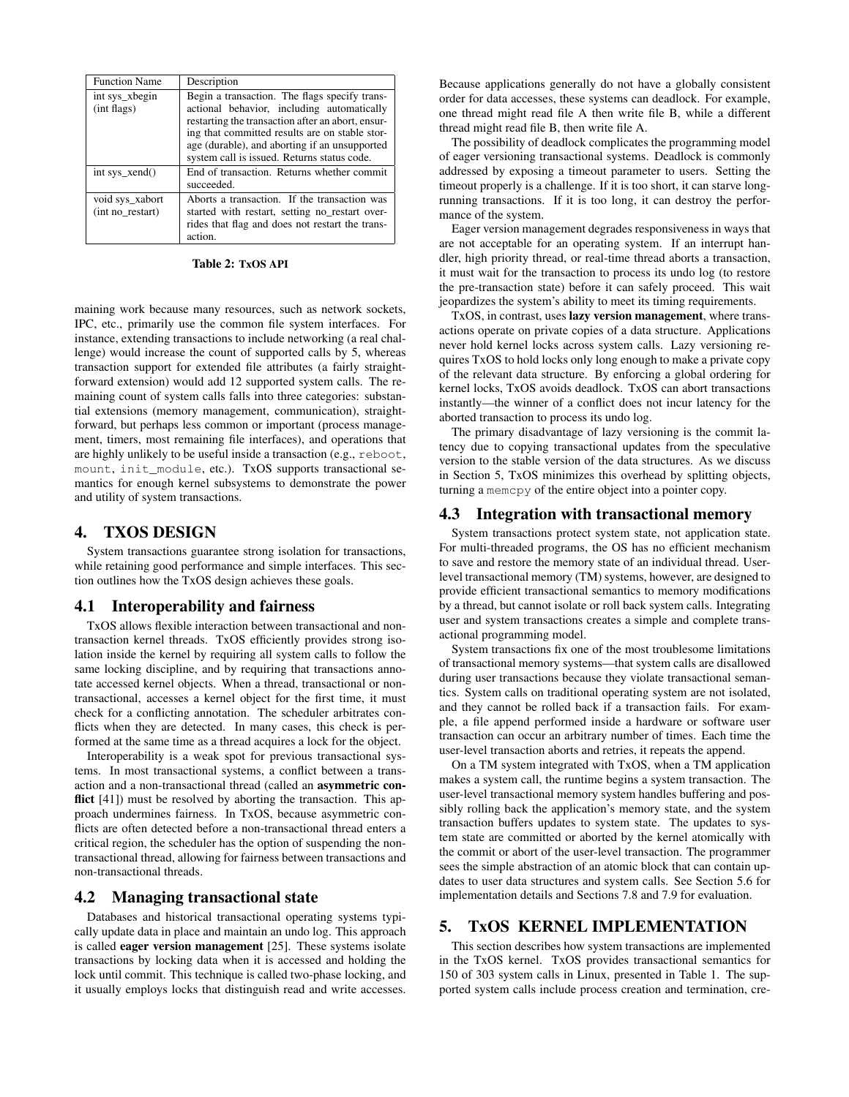| <b>Function Name</b>                | Description                                                                                                                                                                                                                                                                                        |
|-------------------------------------|----------------------------------------------------------------------------------------------------------------------------------------------------------------------------------------------------------------------------------------------------------------------------------------------------|
| int sys_xbegin<br>(int flags)       | Begin a transaction. The flags specify trans-<br>actional behavior, including automatically<br>restarting the transaction after an abort, ensur-<br>ing that committed results are on stable stor-<br>age (durable), and aborting if an unsupported<br>system call is issued. Returns status code. |
| int $sys\_xend()$                   | End of transaction. Returns whether commit<br>succeeded.                                                                                                                                                                                                                                           |
| void sys_xabort<br>(int no_restart) | Aborts a transaction. If the transaction was<br>started with restart, setting no_restart over-<br>rides that flag and does not restart the trans-<br>action.                                                                                                                                       |

#### Table 2: TxOS API

maining work because many resources, such as network sockets, IPC, etc., primarily use the common file system interfaces. For instance, extending transactions to include networking (a real challenge) would increase the count of supported calls by 5, whereas transaction support for extended file attributes (a fairly straightforward extension) would add 12 supported system calls. The remaining count of system calls falls into three categories: substantial extensions (memory management, communication), straightforward, but perhaps less common or important (process management, timers, most remaining file interfaces), and operations that are highly unlikely to be useful inside a transaction (e.g., reboot, mount, init\_module, etc.). TxOS supports transactional semantics for enough kernel subsystems to demonstrate the power and utility of system transactions.

# 4. TXOS DESIGN

System transactions guarantee strong isolation for transactions, while retaining good performance and simple interfaces. This section outlines how the TxOS design achieves these goals.

#### 4.1 Interoperability and fairness

TxOS allows flexible interaction between transactional and nontransaction kernel threads. TxOS efficiently provides strong isolation inside the kernel by requiring all system calls to follow the same locking discipline, and by requiring that transactions annotate accessed kernel objects. When a thread, transactional or nontransactional, accesses a kernel object for the first time, it must check for a conflicting annotation. The scheduler arbitrates conflicts when they are detected. In many cases, this check is performed at the same time as a thread acquires a lock for the object.

Interoperability is a weak spot for previous transactional systems. In most transactional systems, a conflict between a transaction and a non-transactional thread (called an asymmetric conflict [41]) must be resolved by aborting the transaction. This approach undermines fairness. In TxOS, because asymmetric conflicts are often detected before a non-transactional thread enters a critical region, the scheduler has the option of suspending the nontransactional thread, allowing for fairness between transactions and non-transactional threads.

# 4.2 Managing transactional state

Databases and historical transactional operating systems typically update data in place and maintain an undo log. This approach is called eager version management [25]. These systems isolate transactions by locking data when it is accessed and holding the lock until commit. This technique is called two-phase locking, and it usually employs locks that distinguish read and write accesses.

Because applications generally do not have a globally consistent order for data accesses, these systems can deadlock. For example, one thread might read file A then write file B, while a different thread might read file B, then write file A.

The possibility of deadlock complicates the programming model of eager versioning transactional systems. Deadlock is commonly addressed by exposing a timeout parameter to users. Setting the timeout properly is a challenge. If it is too short, it can starve longrunning transactions. If it is too long, it can destroy the performance of the system.

Eager version management degrades responsiveness in ways that are not acceptable for an operating system. If an interrupt handler, high priority thread, or real-time thread aborts a transaction, it must wait for the transaction to process its undo log (to restore the pre-transaction state) before it can safely proceed. This wait jeopardizes the system's ability to meet its timing requirements.

TxOS, in contrast, uses lazy version management, where transactions operate on private copies of a data structure. Applications never hold kernel locks across system calls. Lazy versioning requires TxOS to hold locks only long enough to make a private copy of the relevant data structure. By enforcing a global ordering for kernel locks, TxOS avoids deadlock. TxOS can abort transactions instantly—the winner of a conflict does not incur latency for the aborted transaction to process its undo log.

The primary disadvantage of lazy versioning is the commit latency due to copying transactional updates from the speculative version to the stable version of the data structures. As we discuss in Section 5, TxOS minimizes this overhead by splitting objects, turning a memcpy of the entire object into a pointer copy.

#### 4.3 Integration with transactional memory

System transactions protect system state, not application state. For multi-threaded programs, the OS has no efficient mechanism to save and restore the memory state of an individual thread. Userlevel transactional memory (TM) systems, however, are designed to provide efficient transactional semantics to memory modifications by a thread, but cannot isolate or roll back system calls. Integrating user and system transactions creates a simple and complete transactional programming model.

System transactions fix one of the most troublesome limitations of transactional memory systems—that system calls are disallowed during user transactions because they violate transactional semantics. System calls on traditional operating system are not isolated, and they cannot be rolled back if a transaction fails. For example, a file append performed inside a hardware or software user transaction can occur an arbitrary number of times. Each time the user-level transaction aborts and retries, it repeats the append.

On a TM system integrated with TxOS, when a TM application makes a system call, the runtime begins a system transaction. The user-level transactional memory system handles buffering and possibly rolling back the application's memory state, and the system transaction buffers updates to system state. The updates to system state are committed or aborted by the kernel atomically with the commit or abort of the user-level transaction. The programmer sees the simple abstraction of an atomic block that can contain updates to user data structures and system calls. See Section 5.6 for implementation details and Sections 7.8 and 7.9 for evaluation.

# 5. TxOS KERNEL IMPLEMENTATION

This section describes how system transactions are implemented in the TxOS kernel. TxOS provides transactional semantics for 150 of 303 system calls in Linux, presented in Table 1. The supported system calls include process creation and termination, cre-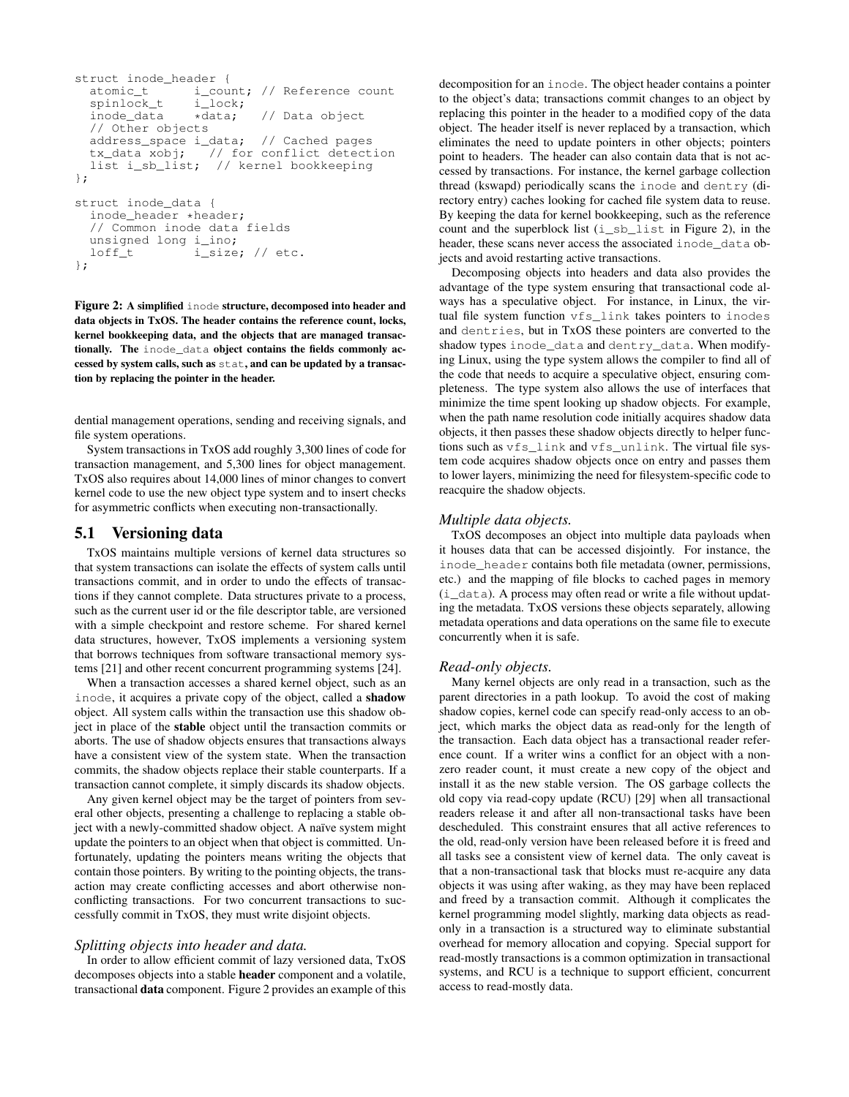```
struct inode_header {
  atomic_t \overline{\phantom{a}} i_count; // Reference count
  spinlock_t i lock:
  inode_data *data; // Data object
  // Other objects
  address_space i_data; // Cached pages
  tx_data xobj; // for conflict detection
  list i_sb_list; // kernel bookkeeping
};
struct inode_data {
  inode_header *header;
  // Common inode data fields
  unsigned long i_ino;<br>loff_t i_size
                 i size; // etc.
};
```
Figure 2: A simplified inode structure, decomposed into header and data objects in TxOS. The header contains the reference count, locks, kernel bookkeeping data, and the objects that are managed transactionally. The inode\_data object contains the fields commonly accessed by system calls, such as stat, and can be updated by a transaction by replacing the pointer in the header.

dential management operations, sending and receiving signals, and file system operations.

System transactions in TxOS add roughly 3,300 lines of code for transaction management, and 5,300 lines for object management. TxOS also requires about 14,000 lines of minor changes to convert kernel code to use the new object type system and to insert checks for asymmetric conflicts when executing non-transactionally.

# 5.1 Versioning data

TxOS maintains multiple versions of kernel data structures so that system transactions can isolate the effects of system calls until transactions commit, and in order to undo the effects of transactions if they cannot complete. Data structures private to a process, such as the current user id or the file descriptor table, are versioned with a simple checkpoint and restore scheme. For shared kernel data structures, however, TxOS implements a versioning system that borrows techniques from software transactional memory systems [21] and other recent concurrent programming systems [24].

When a transaction accesses a shared kernel object, such as an inode, it acquires a private copy of the object, called a shadow object. All system calls within the transaction use this shadow object in place of the stable object until the transaction commits or aborts. The use of shadow objects ensures that transactions always have a consistent view of the system state. When the transaction commits, the shadow objects replace their stable counterparts. If a transaction cannot complete, it simply discards its shadow objects.

Any given kernel object may be the target of pointers from several other objects, presenting a challenge to replacing a stable object with a newly-committed shadow object. A naïve system might update the pointers to an object when that object is committed. Unfortunately, updating the pointers means writing the objects that contain those pointers. By writing to the pointing objects, the transaction may create conflicting accesses and abort otherwise nonconflicting transactions. For two concurrent transactions to successfully commit in TxOS, they must write disjoint objects.

#### *Splitting objects into header and data.*

In order to allow efficient commit of lazy versioned data, TxOS decomposes objects into a stable header component and a volatile, transactional data component. Figure 2 provides an example of this decomposition for an inode. The object header contains a pointer to the object's data; transactions commit changes to an object by replacing this pointer in the header to a modified copy of the data object. The header itself is never replaced by a transaction, which eliminates the need to update pointers in other objects; pointers point to headers. The header can also contain data that is not accessed by transactions. For instance, the kernel garbage collection thread (kswapd) periodically scans the inode and dentry (directory entry) caches looking for cached file system data to reuse. By keeping the data for kernel bookkeeping, such as the reference count and the superblock list (i\_sb\_list in Figure 2), in the header, these scans never access the associated inode\_data objects and avoid restarting active transactions.

Decomposing objects into headers and data also provides the advantage of the type system ensuring that transactional code always has a speculative object. For instance, in Linux, the virtual file system function vfs\_link takes pointers to inodes and dentries, but in TxOS these pointers are converted to the shadow types inode\_data and dentry\_data. When modifying Linux, using the type system allows the compiler to find all of the code that needs to acquire a speculative object, ensuring completeness. The type system also allows the use of interfaces that minimize the time spent looking up shadow objects. For example, when the path name resolution code initially acquires shadow data objects, it then passes these shadow objects directly to helper functions such as vfs\_link and vfs\_unlink. The virtual file system code acquires shadow objects once on entry and passes them to lower layers, minimizing the need for filesystem-specific code to reacquire the shadow objects.

#### *Multiple data objects.*

TxOS decomposes an object into multiple data payloads when it houses data that can be accessed disjointly. For instance, the inode\_header contains both file metadata (owner, permissions, etc.) and the mapping of file blocks to cached pages in memory (i\_data). A process may often read or write a file without updating the metadata. TxOS versions these objects separately, allowing metadata operations and data operations on the same file to execute concurrently when it is safe.

#### *Read-only objects.*

Many kernel objects are only read in a transaction, such as the parent directories in a path lookup. To avoid the cost of making shadow copies, kernel code can specify read-only access to an object, which marks the object data as read-only for the length of the transaction. Each data object has a transactional reader reference count. If a writer wins a conflict for an object with a nonzero reader count, it must create a new copy of the object and install it as the new stable version. The OS garbage collects the old copy via read-copy update (RCU) [29] when all transactional readers release it and after all non-transactional tasks have been descheduled. This constraint ensures that all active references to the old, read-only version have been released before it is freed and all tasks see a consistent view of kernel data. The only caveat is that a non-transactional task that blocks must re-acquire any data objects it was using after waking, as they may have been replaced and freed by a transaction commit. Although it complicates the kernel programming model slightly, marking data objects as readonly in a transaction is a structured way to eliminate substantial overhead for memory allocation and copying. Special support for read-mostly transactions is a common optimization in transactional systems, and RCU is a technique to support efficient, concurrent access to read-mostly data.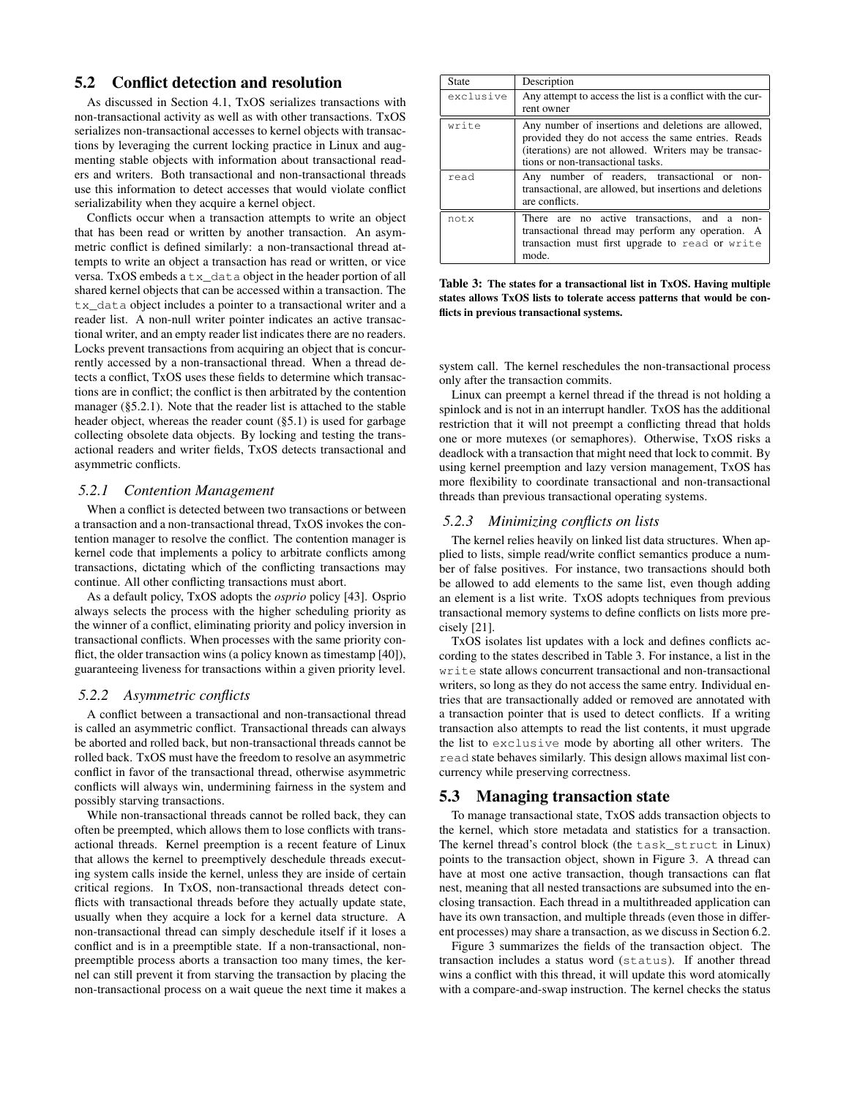# 5.2 Conflict detection and resolution

As discussed in Section 4.1, TxOS serializes transactions with non-transactional activity as well as with other transactions. TxOS serializes non-transactional accesses to kernel objects with transactions by leveraging the current locking practice in Linux and augmenting stable objects with information about transactional readers and writers. Both transactional and non-transactional threads use this information to detect accesses that would violate conflict serializability when they acquire a kernel object.

Conflicts occur when a transaction attempts to write an object that has been read or written by another transaction. An asymmetric conflict is defined similarly: a non-transactional thread attempts to write an object a transaction has read or written, or vice versa. TxOS embeds a tx\_data object in the header portion of all shared kernel objects that can be accessed within a transaction. The tx\_data object includes a pointer to a transactional writer and a reader list. A non-null writer pointer indicates an active transactional writer, and an empty reader list indicates there are no readers. Locks prevent transactions from acquiring an object that is concurrently accessed by a non-transactional thread. When a thread detects a conflict, TxOS uses these fields to determine which transactions are in conflict; the conflict is then arbitrated by the contention manager (§5.2.1). Note that the reader list is attached to the stable header object, whereas the reader count (§5.1) is used for garbage collecting obsolete data objects. By locking and testing the transactional readers and writer fields, TxOS detects transactional and asymmetric conflicts.

#### *5.2.1 Contention Management*

When a conflict is detected between two transactions or between a transaction and a non-transactional thread, TxOS invokes the contention manager to resolve the conflict. The contention manager is kernel code that implements a policy to arbitrate conflicts among transactions, dictating which of the conflicting transactions may continue. All other conflicting transactions must abort.

As a default policy, TxOS adopts the *osprio* policy [43]. Osprio always selects the process with the higher scheduling priority as the winner of a conflict, eliminating priority and policy inversion in transactional conflicts. When processes with the same priority conflict, the older transaction wins (a policy known as timestamp [40]), guaranteeing liveness for transactions within a given priority level.

#### *5.2.2 Asymmetric conflicts*

A conflict between a transactional and non-transactional thread is called an asymmetric conflict. Transactional threads can always be aborted and rolled back, but non-transactional threads cannot be rolled back. TxOS must have the freedom to resolve an asymmetric conflict in favor of the transactional thread, otherwise asymmetric conflicts will always win, undermining fairness in the system and possibly starving transactions.

While non-transactional threads cannot be rolled back, they can often be preempted, which allows them to lose conflicts with transactional threads. Kernel preemption is a recent feature of Linux that allows the kernel to preemptively deschedule threads executing system calls inside the kernel, unless they are inside of certain critical regions. In TxOS, non-transactional threads detect conflicts with transactional threads before they actually update state, usually when they acquire a lock for a kernel data structure. A non-transactional thread can simply deschedule itself if it loses a conflict and is in a preemptible state. If a non-transactional, nonpreemptible process aborts a transaction too many times, the kernel can still prevent it from starving the transaction by placing the non-transactional process on a wait queue the next time it makes a

| State     | Description                                                                                                                                                                                              |
|-----------|----------------------------------------------------------------------------------------------------------------------------------------------------------------------------------------------------------|
| exclusive | Any attempt to access the list is a conflict with the cur-<br>rent owner                                                                                                                                 |
| write     | Any number of insertions and deletions are allowed,<br>provided they do not access the same entries. Reads<br>(iterations) are not allowed. Writers may be transac-<br>tions or non-transactional tasks. |
| read      | Any number of readers, transactional or non-<br>transactional, are allowed, but insertions and deletions<br>are conflicts.                                                                               |
| notx      | There are no active transactions, and a non-<br>transactional thread may perform any operation. A<br>transaction must first upgrade to read or write<br>mode.                                            |

Table 3: The states for a transactional list in TxOS. Having multiple states allows TxOS lists to tolerate access patterns that would be conflicts in previous transactional systems.

system call. The kernel reschedules the non-transactional process only after the transaction commits.

Linux can preempt a kernel thread if the thread is not holding a spinlock and is not in an interrupt handler. TxOS has the additional restriction that it will not preempt a conflicting thread that holds one or more mutexes (or semaphores). Otherwise, TxOS risks a deadlock with a transaction that might need that lock to commit. By using kernel preemption and lazy version management, TxOS has more flexibility to coordinate transactional and non-transactional threads than previous transactional operating systems.

#### *5.2.3 Minimizing conflicts on lists*

The kernel relies heavily on linked list data structures. When applied to lists, simple read/write conflict semantics produce a number of false positives. For instance, two transactions should both be allowed to add elements to the same list, even though adding an element is a list write. TxOS adopts techniques from previous transactional memory systems to define conflicts on lists more precisely [21].

TxOS isolates list updates with a lock and defines conflicts according to the states described in Table 3. For instance, a list in the write state allows concurrent transactional and non-transactional writers, so long as they do not access the same entry. Individual entries that are transactionally added or removed are annotated with a transaction pointer that is used to detect conflicts. If a writing transaction also attempts to read the list contents, it must upgrade the list to exclusive mode by aborting all other writers. The read state behaves similarly. This design allows maximal list concurrency while preserving correctness.

#### 5.3 Managing transaction state

To manage transactional state, TxOS adds transaction objects to the kernel, which store metadata and statistics for a transaction. The kernel thread's control block (the task\_struct in Linux) points to the transaction object, shown in Figure 3. A thread can have at most one active transaction, though transactions can flat nest, meaning that all nested transactions are subsumed into the enclosing transaction. Each thread in a multithreaded application can have its own transaction, and multiple threads (even those in different processes) may share a transaction, as we discuss in Section 6.2.

Figure 3 summarizes the fields of the transaction object. The transaction includes a status word (status). If another thread wins a conflict with this thread, it will update this word atomically with a compare-and-swap instruction. The kernel checks the status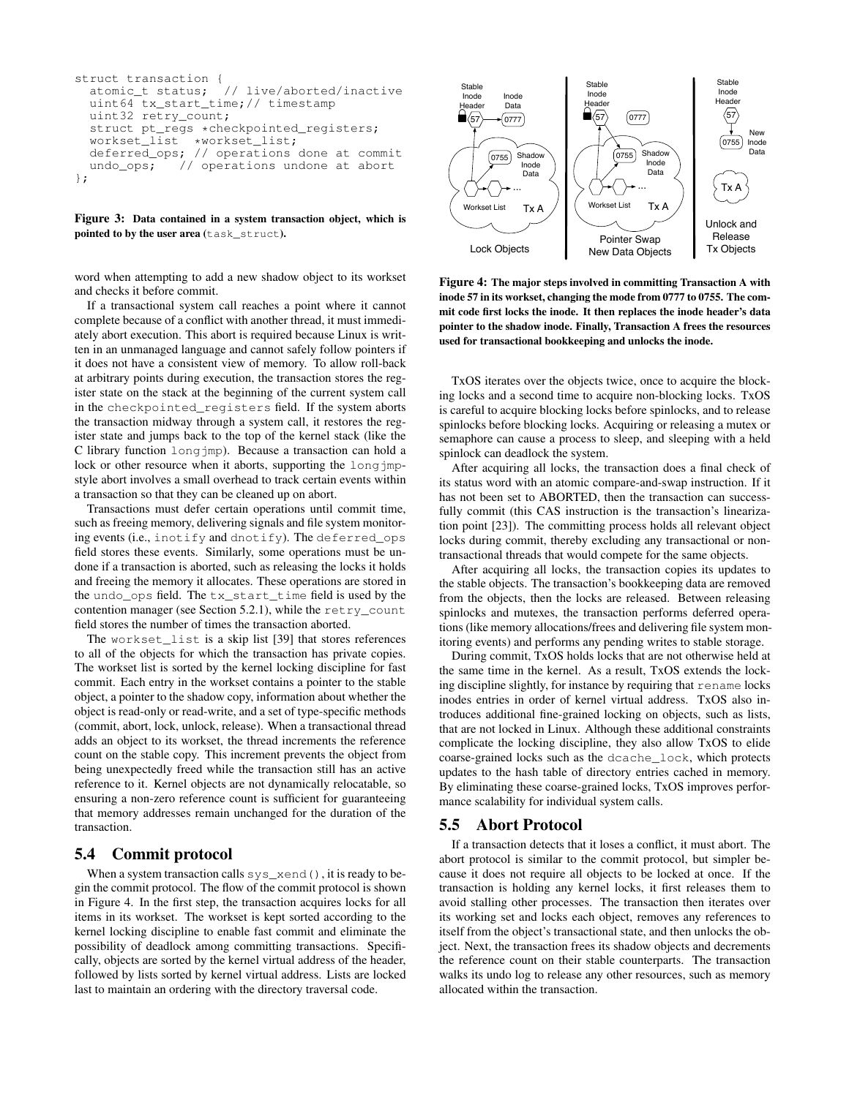```
struct transaction {
  atomic_t status; // live/aborted/inactive
 uint64 tx_start_time;// timestamp
 uint32 retry_count;
 struct pt_regs *checkpointed_registers;
  workset_list *workset_list;
 deferred_ops; // operations done at commit
 undo_ops; // operations undone at abort
};
```
Figure 3: Data contained in a system transaction object, which is pointed to by the user area (task struct).

word when attempting to add a new shadow object to its workset and checks it before commit.

If a transactional system call reaches a point where it cannot complete because of a conflict with another thread, it must immediately abort execution. This abort is required because Linux is written in an unmanaged language and cannot safely follow pointers if it does not have a consistent view of memory. To allow roll-back at arbitrary points during execution, the transaction stores the register state on the stack at the beginning of the current system call in the checkpointed\_registers field. If the system aborts the transaction midway through a system call, it restores the register state and jumps back to the top of the kernel stack (like the C library function longjmp). Because a transaction can hold a lock or other resource when it aborts, supporting the longjmpstyle abort involves a small overhead to track certain events within a transaction so that they can be cleaned up on abort.

Transactions must defer certain operations until commit time, such as freeing memory, delivering signals and file system monitoring events (i.e., inotify and dnotify). The deferred\_ops field stores these events. Similarly, some operations must be undone if a transaction is aborted, such as releasing the locks it holds and freeing the memory it allocates. These operations are stored in the undo\_ops field. The tx\_start\_time field is used by the contention manager (see Section 5.2.1), while the retry\_count field stores the number of times the transaction aborted.

The workset\_list is a skip list [39] that stores references to all of the objects for which the transaction has private copies. The workset list is sorted by the kernel locking discipline for fast commit. Each entry in the workset contains a pointer to the stable object, a pointer to the shadow copy, information about whether the object is read-only or read-write, and a set of type-specific methods (commit, abort, lock, unlock, release). When a transactional thread adds an object to its workset, the thread increments the reference count on the stable copy. This increment prevents the object from being unexpectedly freed while the transaction still has an active reference to it. Kernel objects are not dynamically relocatable, so ensuring a non-zero reference count is sufficient for guaranteeing that memory addresses remain unchanged for the duration of the transaction.

# 5.4 Commit protocol

When a system transaction calls  $sys\_x$ end(), it is ready to begin the commit protocol. The flow of the commit protocol is shown in Figure 4. In the first step, the transaction acquires locks for all items in its workset. The workset is kept sorted according to the kernel locking discipline to enable fast commit and eliminate the possibility of deadlock among committing transactions. Specifically, objects are sorted by the kernel virtual address of the header, followed by lists sorted by kernel virtual address. Lists are locked last to maintain an ordering with the directory traversal code.



Figure 4: The major steps involved in committing Transaction A with inode 57 in its workset, changing the mode from 0777 to 0755. The commit code first locks the inode. It then replaces the inode header's data pointer to the shadow inode. Finally, Transaction A frees the resources used for transactional bookkeeping and unlocks the inode.

TxOS iterates over the objects twice, once to acquire the blocking locks and a second time to acquire non-blocking locks. TxOS is careful to acquire blocking locks before spinlocks, and to release spinlocks before blocking locks. Acquiring or releasing a mutex or semaphore can cause a process to sleep, and sleeping with a held spinlock can deadlock the system.

After acquiring all locks, the transaction does a final check of its status word with an atomic compare-and-swap instruction. If it has not been set to ABORTED, then the transaction can successfully commit (this CAS instruction is the transaction's linearization point [23]). The committing process holds all relevant object locks during commit, thereby excluding any transactional or nontransactional threads that would compete for the same objects.

After acquiring all locks, the transaction copies its updates to the stable objects. The transaction's bookkeeping data are removed from the objects, then the locks are released. Between releasing spinlocks and mutexes, the transaction performs deferred operations (like memory allocations/frees and delivering file system monitoring events) and performs any pending writes to stable storage.

During commit, TxOS holds locks that are not otherwise held at the same time in the kernel. As a result, TxOS extends the locking discipline slightly, for instance by requiring that rename locks inodes entries in order of kernel virtual address. TxOS also introduces additional fine-grained locking on objects, such as lists, that are not locked in Linux. Although these additional constraints complicate the locking discipline, they also allow TxOS to elide coarse-grained locks such as the dcache\_lock, which protects updates to the hash table of directory entries cached in memory. By eliminating these coarse-grained locks, TxOS improves performance scalability for individual system calls.

#### 5.5 Abort Protocol

If a transaction detects that it loses a conflict, it must abort. The abort protocol is similar to the commit protocol, but simpler because it does not require all objects to be locked at once. If the transaction is holding any kernel locks, it first releases them to avoid stalling other processes. The transaction then iterates over its working set and locks each object, removes any references to itself from the object's transactional state, and then unlocks the object. Next, the transaction frees its shadow objects and decrements the reference count on their stable counterparts. The transaction walks its undo log to release any other resources, such as memory allocated within the transaction.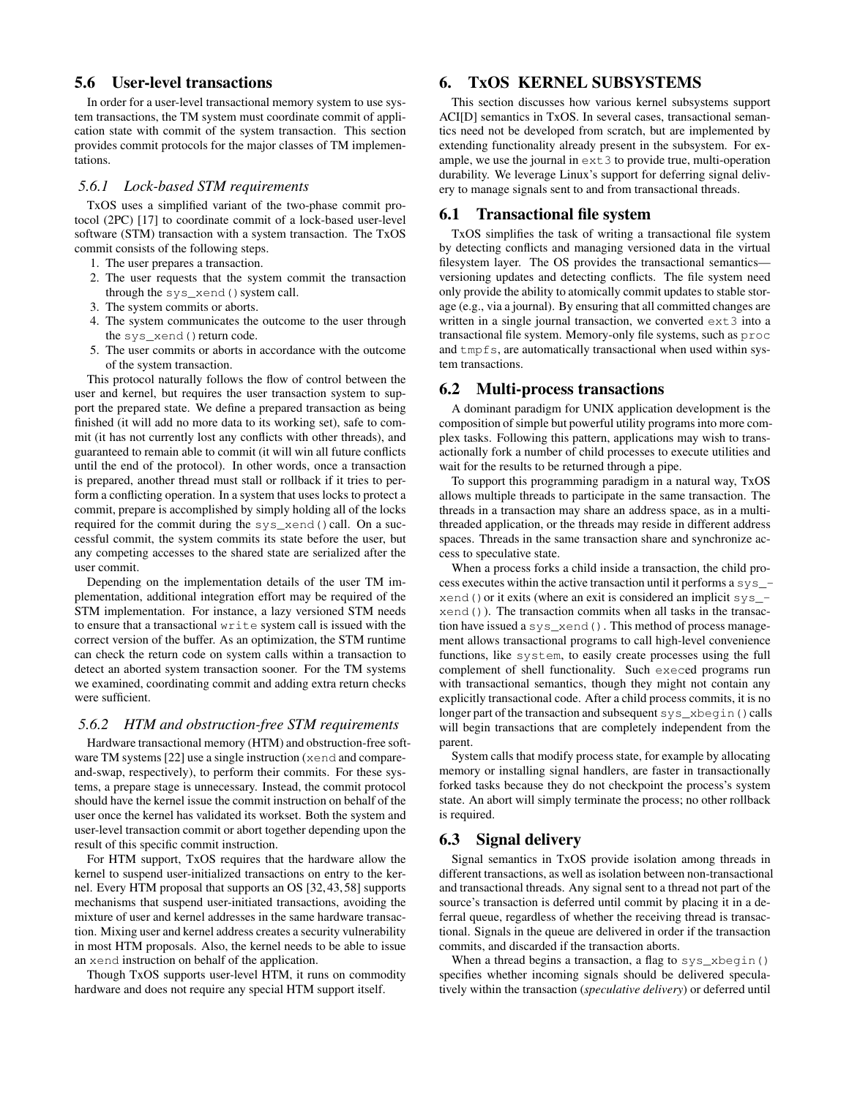# 5.6 User-level transactions

In order for a user-level transactional memory system to use system transactions, the TM system must coordinate commit of application state with commit of the system transaction. This section provides commit protocols for the major classes of TM implementations.

#### *5.6.1 Lock-based STM requirements*

TxOS uses a simplified variant of the two-phase commit protocol (2PC) [17] to coordinate commit of a lock-based user-level software (STM) transaction with a system transaction. The TxOS commit consists of the following steps.

- 1. The user prepares a transaction.
- 2. The user requests that the system commit the transaction through the sys xend() system call.
- 3. The system commits or aborts.
- 4. The system communicates the outcome to the user through the sys\_xend() return code.
- 5. The user commits or aborts in accordance with the outcome of the system transaction.

This protocol naturally follows the flow of control between the user and kernel, but requires the user transaction system to support the prepared state. We define a prepared transaction as being finished (it will add no more data to its working set), safe to commit (it has not currently lost any conflicts with other threads), and guaranteed to remain able to commit (it will win all future conflicts until the end of the protocol). In other words, once a transaction is prepared, another thread must stall or rollback if it tries to perform a conflicting operation. In a system that uses locks to protect a commit, prepare is accomplished by simply holding all of the locks required for the commit during the sys\_xend()call. On a successful commit, the system commits its state before the user, but any competing accesses to the shared state are serialized after the user commit.

Depending on the implementation details of the user TM implementation, additional integration effort may be required of the STM implementation. For instance, a lazy versioned STM needs to ensure that a transactional write system call is issued with the correct version of the buffer. As an optimization, the STM runtime can check the return code on system calls within a transaction to detect an aborted system transaction sooner. For the TM systems we examined, coordinating commit and adding extra return checks were sufficient.

#### *5.6.2 HTM and obstruction-free STM requirements*

Hardware transactional memory (HTM) and obstruction-free software TM systems [22] use a single instruction (xend and compareand-swap, respectively), to perform their commits. For these systems, a prepare stage is unnecessary. Instead, the commit protocol should have the kernel issue the commit instruction on behalf of the user once the kernel has validated its workset. Both the system and user-level transaction commit or abort together depending upon the result of this specific commit instruction.

For HTM support, TxOS requires that the hardware allow the kernel to suspend user-initialized transactions on entry to the kernel. Every HTM proposal that supports an OS [32, 43, 58] supports mechanisms that suspend user-initiated transactions, avoiding the mixture of user and kernel addresses in the same hardware transaction. Mixing user and kernel address creates a security vulnerability in most HTM proposals. Also, the kernel needs to be able to issue an xend instruction on behalf of the application.

Though TxOS supports user-level HTM, it runs on commodity hardware and does not require any special HTM support itself.

# 6. TxOS KERNEL SUBSYSTEMS

This section discusses how various kernel subsystems support ACI[D] semantics in TxOS. In several cases, transactional semantics need not be developed from scratch, but are implemented by extending functionality already present in the subsystem. For example, we use the journal in  $ext{ext3}$  to provide true, multi-operation durability. We leverage Linux's support for deferring signal delivery to manage signals sent to and from transactional threads.

# 6.1 Transactional file system

TxOS simplifies the task of writing a transactional file system by detecting conflicts and managing versioned data in the virtual filesystem layer. The OS provides the transactional semantics versioning updates and detecting conflicts. The file system need only provide the ability to atomically commit updates to stable storage (e.g., via a journal). By ensuring that all committed changes are written in a single journal transaction, we converted  $ext{ext3}$  into a transactional file system. Memory-only file systems, such as proc and tmpfs, are automatically transactional when used within system transactions.

# 6.2 Multi-process transactions

A dominant paradigm for UNIX application development is the composition of simple but powerful utility programs into more complex tasks. Following this pattern, applications may wish to transactionally fork a number of child processes to execute utilities and wait for the results to be returned through a pipe.

To support this programming paradigm in a natural way, TxOS allows multiple threads to participate in the same transaction. The threads in a transaction may share an address space, as in a multithreaded application, or the threads may reside in different address spaces. Threads in the same transaction share and synchronize access to speculative state.

When a process forks a child inside a transaction, the child process executes within the active transaction until it performs a sys\_ xend () or it exits (where an exit is considered an implicit sys\_xend()). The transaction commits when all tasks in the transaction have issued a sys\_xend(). This method of process management allows transactional programs to call high-level convenience functions, like system, to easily create processes using the full complement of shell functionality. Such execed programs run with transactional semantics, though they might not contain any explicitly transactional code. After a child process commits, it is no longer part of the transaction and subsequent  $sys_x$  xbegin() calls will begin transactions that are completely independent from the parent.

System calls that modify process state, for example by allocating memory or installing signal handlers, are faster in transactionally forked tasks because they do not checkpoint the process's system state. An abort will simply terminate the process; no other rollback is required.

#### 6.3 Signal delivery

Signal semantics in TxOS provide isolation among threads in different transactions, as well as isolation between non-transactional and transactional threads. Any signal sent to a thread not part of the source's transaction is deferred until commit by placing it in a deferral queue, regardless of whether the receiving thread is transactional. Signals in the queue are delivered in order if the transaction commits, and discarded if the transaction aborts.

When a thread begins a transaction, a flag to sys\_xbegin() specifies whether incoming signals should be delivered speculatively within the transaction (*speculative delivery*) or deferred until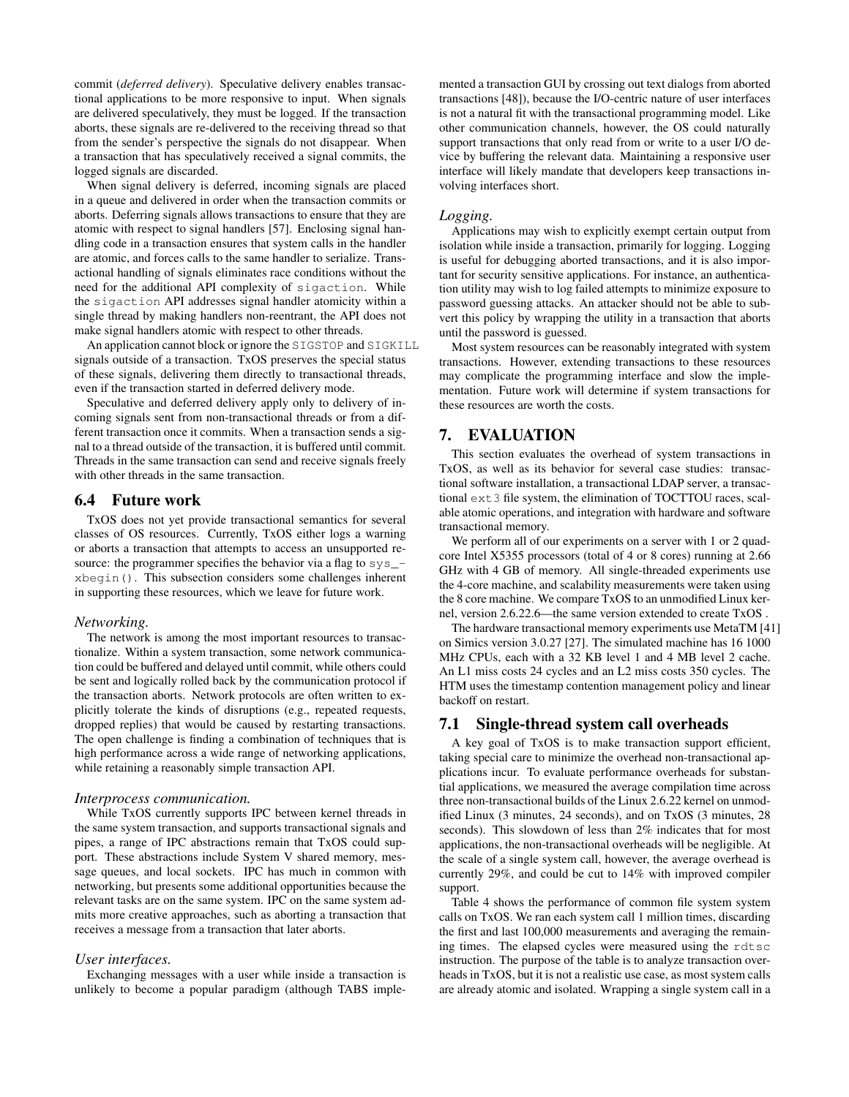commit (*deferred delivery*). Speculative delivery enables transactional applications to be more responsive to input. When signals are delivered speculatively, they must be logged. If the transaction aborts, these signals are re-delivered to the receiving thread so that from the sender's perspective the signals do not disappear. When a transaction that has speculatively received a signal commits, the logged signals are discarded.

When signal delivery is deferred, incoming signals are placed in a queue and delivered in order when the transaction commits or aborts. Deferring signals allows transactions to ensure that they are atomic with respect to signal handlers [57]. Enclosing signal handling code in a transaction ensures that system calls in the handler are atomic, and forces calls to the same handler to serialize. Transactional handling of signals eliminates race conditions without the need for the additional API complexity of sigaction. While the sigaction API addresses signal handler atomicity within a single thread by making handlers non-reentrant, the API does not make signal handlers atomic with respect to other threads.

An application cannot block or ignore the SIGSTOP and SIGKILL signals outside of a transaction. TxOS preserves the special status of these signals, delivering them directly to transactional threads, even if the transaction started in deferred delivery mode.

Speculative and deferred delivery apply only to delivery of incoming signals sent from non-transactional threads or from a different transaction once it commits. When a transaction sends a signal to a thread outside of the transaction, it is buffered until commit. Threads in the same transaction can send and receive signals freely with other threads in the same transaction.

### 6.4 Future work

TxOS does not yet provide transactional semantics for several classes of OS resources. Currently, TxOS either logs a warning or aborts a transaction that attempts to access an unsupported resource: the programmer specifies the behavior via a flag to sys\_xbegin(). This subsection considers some challenges inherent in supporting these resources, which we leave for future work.

#### *Networking.*

The network is among the most important resources to transactionalize. Within a system transaction, some network communication could be buffered and delayed until commit, while others could be sent and logically rolled back by the communication protocol if the transaction aborts. Network protocols are often written to explicitly tolerate the kinds of disruptions (e.g., repeated requests, dropped replies) that would be caused by restarting transactions. The open challenge is finding a combination of techniques that is high performance across a wide range of networking applications, while retaining a reasonably simple transaction API.

#### *Interprocess communication.*

While TxOS currently supports IPC between kernel threads in the same system transaction, and supports transactional signals and pipes, a range of IPC abstractions remain that TxOS could support. These abstractions include System V shared memory, message queues, and local sockets. IPC has much in common with networking, but presents some additional opportunities because the relevant tasks are on the same system. IPC on the same system admits more creative approaches, such as aborting a transaction that receives a message from a transaction that later aborts.

#### *User interfaces.*

Exchanging messages with a user while inside a transaction is unlikely to become a popular paradigm (although TABS implemented a transaction GUI by crossing out text dialogs from aborted transactions [48]), because the I/O-centric nature of user interfaces is not a natural fit with the transactional programming model. Like other communication channels, however, the OS could naturally support transactions that only read from or write to a user I/O device by buffering the relevant data. Maintaining a responsive user interface will likely mandate that developers keep transactions involving interfaces short.

#### *Logging.*

Applications may wish to explicitly exempt certain output from isolation while inside a transaction, primarily for logging. Logging is useful for debugging aborted transactions, and it is also important for security sensitive applications. For instance, an authentication utility may wish to log failed attempts to minimize exposure to password guessing attacks. An attacker should not be able to subvert this policy by wrapping the utility in a transaction that aborts until the password is guessed.

Most system resources can be reasonably integrated with system transactions. However, extending transactions to these resources may complicate the programming interface and slow the implementation. Future work will determine if system transactions for these resources are worth the costs.

# 7. EVALUATION

This section evaluates the overhead of system transactions in TxOS, as well as its behavior for several case studies: transactional software installation, a transactional LDAP server, a transactional ext3 file system, the elimination of TOCTTOU races, scalable atomic operations, and integration with hardware and software transactional memory.

We perform all of our experiments on a server with 1 or 2 quadcore Intel X5355 processors (total of 4 or 8 cores) running at 2.66 GHz with 4 GB of memory. All single-threaded experiments use the 4-core machine, and scalability measurements were taken using the 8 core machine. We compare TxOS to an unmodified Linux kernel, version 2.6.22.6—the same version extended to create TxOS .

The hardware transactional memory experiments use MetaTM [41] on Simics version 3.0.27 [27]. The simulated machine has 16 1000 MHz CPUs, each with a 32 KB level 1 and 4 MB level 2 cache. An L1 miss costs 24 cycles and an L2 miss costs 350 cycles. The HTM uses the timestamp contention management policy and linear backoff on restart.

# 7.1 Single-thread system call overheads

A key goal of TxOS is to make transaction support efficient, taking special care to minimize the overhead non-transactional applications incur. To evaluate performance overheads for substantial applications, we measured the average compilation time across three non-transactional builds of the Linux 2.6.22 kernel on unmodified Linux (3 minutes, 24 seconds), and on TxOS (3 minutes, 28 seconds). This slowdown of less than 2% indicates that for most applications, the non-transactional overheads will be negligible. At the scale of a single system call, however, the average overhead is currently 29%, and could be cut to 14% with improved compiler support.

Table 4 shows the performance of common file system system calls on TxOS. We ran each system call 1 million times, discarding the first and last 100,000 measurements and averaging the remaining times. The elapsed cycles were measured using the rdtsc instruction. The purpose of the table is to analyze transaction overheads in TxOS, but it is not a realistic use case, as most system calls are already atomic and isolated. Wrapping a single system call in a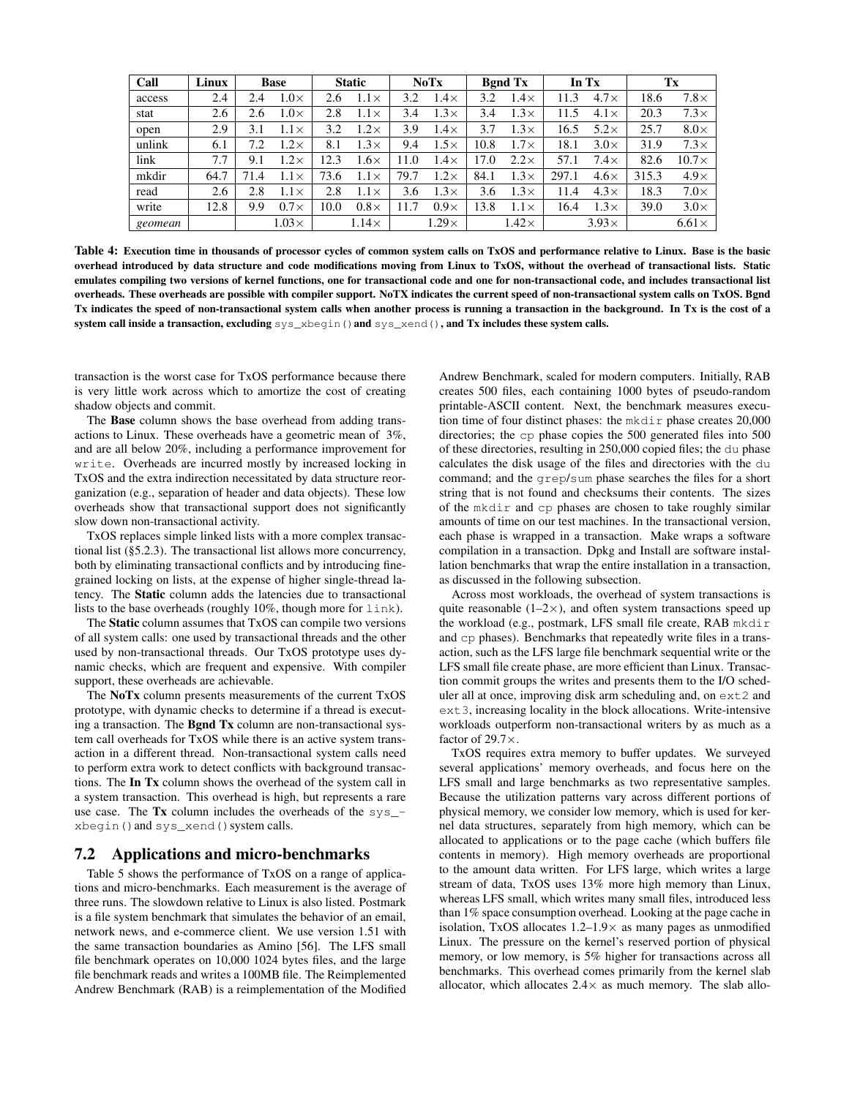| Call    | Linux |      | <b>Base</b>  |      | <b>Static</b> |      | <b>NoTx</b>  |      | <b>Bgnd Tx</b> |       | In Tx        |       | Tx           |
|---------|-------|------|--------------|------|---------------|------|--------------|------|----------------|-------|--------------|-------|--------------|
| access  | 2.4   | 2.4  | $1.0\times$  | 2.6  | $1.1\times$   | 3.2  | $1.4\times$  | 3.2  | $1.4\times$    | 11.3  | $4.7\times$  | 18.6  | $7.8\times$  |
| stat    | 2.6   | 2.6  | $1.0\times$  | 2.8  | $1.1\times$   | 3.4  | $1.3\times$  | 3.4  | $1.3\times$    | 11.5  | $4.1\times$  | 20.3  | $7.3\times$  |
| open    | 2.9   | 3.1  | $1.1\times$  | 3.2  | $1.2\times$   | 3.9  | $1.4\times$  | 3.7  | $1.3\times$    | 16.5  | $5.2\times$  | 25.7  | $8.0\times$  |
| unlink  | 6.1   | 7.2  | .2 $\times$  | 8.1  | $1.3\times$   | 9.4  | $1.5\times$  | 10.8 | $1.7\times$    | 18.1  | $3.0\times$  | 31.9  | $7.3\times$  |
| link    | 7.7   | 9.1  | $1.2\times$  | 12.3 | $1.6\times$   | 11.0 | $1.4\times$  | 17.0 | $2.2\times$    | 57.1  | $7.4\times$  | 82.6  | $10.7\times$ |
| mkdir   | 64.7  | 71.4 | $1.1\times$  | 73.6 | $1.1\times$   | 79.7 | $1.2\times$  | 84.1 | $1.3\times$    | 297.1 | $4.6\times$  | 315.3 | $4.9\times$  |
| read    | 2.6   | 2.8  | $1.1\times$  | 2.8  | $1.1\times$   | 3.6  | $1.3\times$  | 3.6  | $1.3\times$    | 11.4  | $4.3\times$  | 18.3  | $7.0\times$  |
| write   | 12.8  | 9.9  | $0.7\times$  | 10.0 | $0.8\times$   | 11.7 | $0.9\times$  | 13.8 | $1.1\times$    | 16.4  | $1.3\times$  | 39.0  | $3.0\times$  |
| geomean |       |      | $1.03\times$ |      | $1.14\times$  |      | $1.29\times$ |      | $1.42\times$   |       | $3.93\times$ |       | $6.61\times$ |

Table 4: Execution time in thousands of processor cycles of common system calls on TxOS and performance relative to Linux. Base is the basic overhead introduced by data structure and code modifications moving from Linux to TxOS, without the overhead of transactional lists. Static emulates compiling two versions of kernel functions, one for transactional code and one for non-transactional code, and includes transactional list overheads. These overheads are possible with compiler support. NoTX indicates the current speed of non-transactional system calls on TxOS. Bgnd Tx indicates the speed of non-transactional system calls when another process is running a transaction in the background. In Tx is the cost of a system call inside a transaction, excluding  $sys\_xbegin()$  and  $sys\_xend()$ , and Tx includes these system calls.

transaction is the worst case for TxOS performance because there is very little work across which to amortize the cost of creating shadow objects and commit.

The Base column shows the base overhead from adding transactions to Linux. These overheads have a geometric mean of 3%, and are all below 20%, including a performance improvement for write. Overheads are incurred mostly by increased locking in TxOS and the extra indirection necessitated by data structure reorganization (e.g., separation of header and data objects). These low overheads show that transactional support does not significantly slow down non-transactional activity.

TxOS replaces simple linked lists with a more complex transactional list (§5.2.3). The transactional list allows more concurrency, both by eliminating transactional conflicts and by introducing finegrained locking on lists, at the expense of higher single-thread latency. The Static column adds the latencies due to transactional lists to the base overheads (roughly 10%, though more for link).

The Static column assumes that TxOS can compile two versions of all system calls: one used by transactional threads and the other used by non-transactional threads. Our TxOS prototype uses dynamic checks, which are frequent and expensive. With compiler support, these overheads are achievable.

The NoTx column presents measurements of the current TxOS prototype, with dynamic checks to determine if a thread is executing a transaction. The Bgnd Tx column are non-transactional system call overheads for TxOS while there is an active system transaction in a different thread. Non-transactional system calls need to perform extra work to detect conflicts with background transactions. The In Tx column shows the overhead of the system call in a system transaction. This overhead is high, but represents a rare use case. The Tx column includes the overheads of the sys\_ xbegin()and sys\_xend()system calls.

# 7.2 Applications and micro-benchmarks

Table 5 shows the performance of TxOS on a range of applications and micro-benchmarks. Each measurement is the average of three runs. The slowdown relative to Linux is also listed. Postmark is a file system benchmark that simulates the behavior of an email, network news, and e-commerce client. We use version 1.51 with the same transaction boundaries as Amino [56]. The LFS small file benchmark operates on 10,000 1024 bytes files, and the large file benchmark reads and writes a 100MB file. The Reimplemented Andrew Benchmark (RAB) is a reimplementation of the Modified Andrew Benchmark, scaled for modern computers. Initially, RAB creates 500 files, each containing 1000 bytes of pseudo-random printable-ASCII content. Next, the benchmark measures execution time of four distinct phases: the mkdir phase creates 20,000 directories; the cp phase copies the 500 generated files into 500 of these directories, resulting in 250,000 copied files; the du phase calculates the disk usage of the files and directories with the du command; and the grep/sum phase searches the files for a short string that is not found and checksums their contents. The sizes of the mkdir and cp phases are chosen to take roughly similar amounts of time on our test machines. In the transactional version, each phase is wrapped in a transaction. Make wraps a software compilation in a transaction. Dpkg and Install are software installation benchmarks that wrap the entire installation in a transaction, as discussed in the following subsection.

Across most workloads, the overhead of system transactions is quite reasonable  $(1-2\times)$ , and often system transactions speed up the workload (e.g., postmark, LFS small file create, RAB mkdir and cp phases). Benchmarks that repeatedly write files in a transaction, such as the LFS large file benchmark sequential write or the LFS small file create phase, are more efficient than Linux. Transaction commit groups the writes and presents them to the I/O scheduler all at once, improving disk arm scheduling and, on ext2 and ext3, increasing locality in the block allocations. Write-intensive workloads outperform non-transactional writers by as much as a factor of 29.7×.

TxOS requires extra memory to buffer updates. We surveyed several applications' memory overheads, and focus here on the LFS small and large benchmarks as two representative samples. Because the utilization patterns vary across different portions of physical memory, we consider low memory, which is used for kernel data structures, separately from high memory, which can be allocated to applications or to the page cache (which buffers file contents in memory). High memory overheads are proportional to the amount data written. For LFS large, which writes a large stream of data, TxOS uses 13% more high memory than Linux, whereas LFS small, which writes many small files, introduced less than 1% space consumption overhead. Looking at the page cache in isolation, TxOS allocates  $1.2-1.9\times$  as many pages as unmodified Linux. The pressure on the kernel's reserved portion of physical memory, or low memory, is 5% higher for transactions across all benchmarks. This overhead comes primarily from the kernel slab allocator, which allocates  $2.4 \times$  as much memory. The slab allo-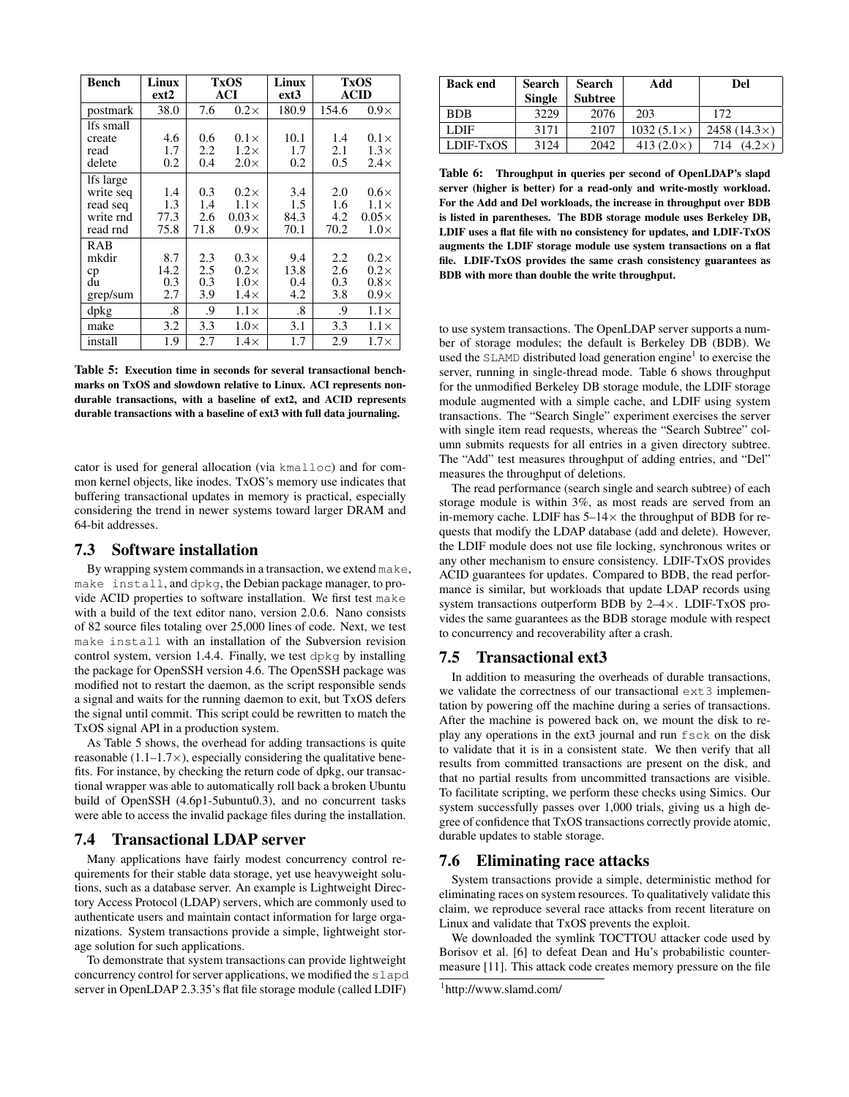| <b>Bench</b> | Linux<br>ext2 | <b>TxOS</b><br>ACI |              | Linux<br>ext3 |       | <b>TxOS</b><br>ACID |
|--------------|---------------|--------------------|--------------|---------------|-------|---------------------|
| postmark     | 38.0          | 7.6                | $0.2\times$  | 180.9         | 154.6 | $0.9\times$         |
| lfs small    |               |                    |              |               |       |                     |
| create       | 4.6           | 0.6                | $0.1\times$  | 10.1          | 1.4   | $0.1\times$         |
| read         | 1.7           | 2.2                | $1.2\times$  | 1.7           | 2.1   | $1.3\times$         |
| delete       | 0.2           | 0.4                | $2.0\times$  | 0.2           | 0.5   | $2.4\times$         |
| lfs large    |               |                    |              |               |       |                     |
| write seq    | 1.4           | 0.3                | $0.2\times$  | 3.4           | 2.0   | $0.6\times$         |
| read seq     | 1.3           | 1.4                | $1.1\times$  | 1.5           | 1.6   | $1.1\times$         |
| write rnd    | 77.3          | 2.6                | $0.03\times$ | 84.3          | 4.2   | $0.05\times$        |
| read rnd     | 75.8          | 71.8               | $0.9\times$  | 70.1          | 70.2  | $1.0\times$         |
| <b>RAB</b>   |               |                    |              |               |       |                     |
| mkdir        | 8.7           | 2.3                | $0.3\times$  | 9.4           | 2.2   | $0.2\times$         |
| cp           | 14.2          | 2.5                | $0.2\times$  | 13.8          | 2.6   | $0.2\times$         |
| du           | 0.3           | 0.3                | $1.0\times$  | 0.4           | 0.3   | $0.8\times$         |
| grep/sum     | 2.7           | 3.9                | $1.4\times$  | 4.2           | 3.8   | $0.9\times$         |
| dpkg         | $\cdot^8$     | .9                 | $1.1\times$  | .8            | .9    | $1.1\times$         |
| make         | 3.2           | 3.3                | $1.0\times$  | 3.1           | 3.3   | $1.1\times$         |
| install      | 1.9           | 2.7                | $1.4\times$  | 1.7           | 2.9   | $1.7\times$         |

Table 5: Execution time in seconds for several transactional benchmarks on TxOS and slowdown relative to Linux. ACI represents nondurable transactions, with a baseline of ext2, and ACID represents durable transactions with a baseline of ext3 with full data journaling.

cator is used for general allocation (via kmalloc) and for common kernel objects, like inodes. TxOS's memory use indicates that buffering transactional updates in memory is practical, especially considering the trend in newer systems toward larger DRAM and 64-bit addresses.

### 7.3 Software installation

By wrapping system commands in a transaction, we extend make, make install, and dpkg, the Debian package manager, to provide ACID properties to software installation. We first test make with a build of the text editor nano, version 2.0.6. Nano consists of 82 source files totaling over 25,000 lines of code. Next, we test make install with an installation of the Subversion revision control system, version 1.4.4. Finally, we test dpkg by installing the package for OpenSSH version 4.6. The OpenSSH package was modified not to restart the daemon, as the script responsible sends a signal and waits for the running daemon to exit, but TxOS defers the signal until commit. This script could be rewritten to match the TxOS signal API in a production system.

As Table 5 shows, the overhead for adding transactions is quite reasonable  $(1.1-1.7\times)$ , especially considering the qualitative benefits. For instance, by checking the return code of dpkg, our transactional wrapper was able to automatically roll back a broken Ubuntu build of OpenSSH (4.6p1-5ubuntu0.3), and no concurrent tasks were able to access the invalid package files during the installation.

#### 7.4 Transactional LDAP server

Many applications have fairly modest concurrency control requirements for their stable data storage, yet use heavyweight solutions, such as a database server. An example is Lightweight Directory Access Protocol (LDAP) servers, which are commonly used to authenticate users and maintain contact information for large organizations. System transactions provide a simple, lightweight storage solution for such applications.

To demonstrate that system transactions can provide lightweight concurrency control for server applications, we modified the slapd server in OpenLDAP 2.3.35's flat file storage module (called LDIF)

| <b>Back end</b> | <b>Search</b> | Search         | Add                 | Del                  |  |
|-----------------|---------------|----------------|---------------------|----------------------|--|
|                 | <b>Single</b> | <b>Subtree</b> |                     |                      |  |
| <b>BDB</b>      | 3229          | 2076           | 203                 | 172                  |  |
| LDIF            | 3171          | 2107           | $1032 (5.1 \times)$ | 2458 $(14.3\times)$  |  |
| LDIF-TxOS       | 3124          | 2042           | 413 $(2.0\times)$   | $(4.2\times)$<br>714 |  |

Table 6: Throughput in queries per second of OpenLDAP's slapd server (higher is better) for a read-only and write-mostly workload. For the Add and Del workloads, the increase in throughput over BDB is listed in parentheses. The BDB storage module uses Berkeley DB, LDIF uses a flat file with no consistency for updates, and LDIF-TxOS augments the LDIF storage module use system transactions on a flat file. LDIF-TxOS provides the same crash consistency guarantees as BDB with more than double the write throughput.

to use system transactions. The OpenLDAP server supports a number of storage modules; the default is Berkeley DB (BDB). We used the SLAMD distributed load generation engine<sup>1</sup> to exercise the server, running in single-thread mode. Table 6 shows throughput for the unmodified Berkeley DB storage module, the LDIF storage module augmented with a simple cache, and LDIF using system transactions. The "Search Single" experiment exercises the server with single item read requests, whereas the "Search Subtree" column submits requests for all entries in a given directory subtree. The "Add" test measures throughput of adding entries, and "Del" measures the throughput of deletions.

The read performance (search single and search subtree) of each storage module is within 3%, as most reads are served from an in-memory cache. LDIF has  $5-14 \times$  the throughput of BDB for requests that modify the LDAP database (add and delete). However, the LDIF module does not use file locking, synchronous writes or any other mechanism to ensure consistency. LDIF-TxOS provides ACID guarantees for updates. Compared to BDB, the read performance is similar, but workloads that update LDAP records using system transactions outperform BDB by 2–4×. LDIF-TxOS provides the same guarantees as the BDB storage module with respect to concurrency and recoverability after a crash.

#### 7.5 Transactional ext3

In addition to measuring the overheads of durable transactions, we validate the correctness of our transactional  $ext{ext3}$  implementation by powering off the machine during a series of transactions. After the machine is powered back on, we mount the disk to replay any operations in the ext3 journal and run fsck on the disk to validate that it is in a consistent state. We then verify that all results from committed transactions are present on the disk, and that no partial results from uncommitted transactions are visible. To facilitate scripting, we perform these checks using Simics. Our system successfully passes over 1,000 trials, giving us a high degree of confidence that TxOS transactions correctly provide atomic, durable updates to stable storage.

#### 7.6 Eliminating race attacks

System transactions provide a simple, deterministic method for eliminating races on system resources. To qualitatively validate this claim, we reproduce several race attacks from recent literature on Linux and validate that TxOS prevents the exploit.

We downloaded the symlink TOCTTOU attacker code used by Borisov et al. [6] to defeat Dean and Hu's probabilistic countermeasure [11]. This attack code creates memory pressure on the file

<sup>1</sup> http://www.slamd.com/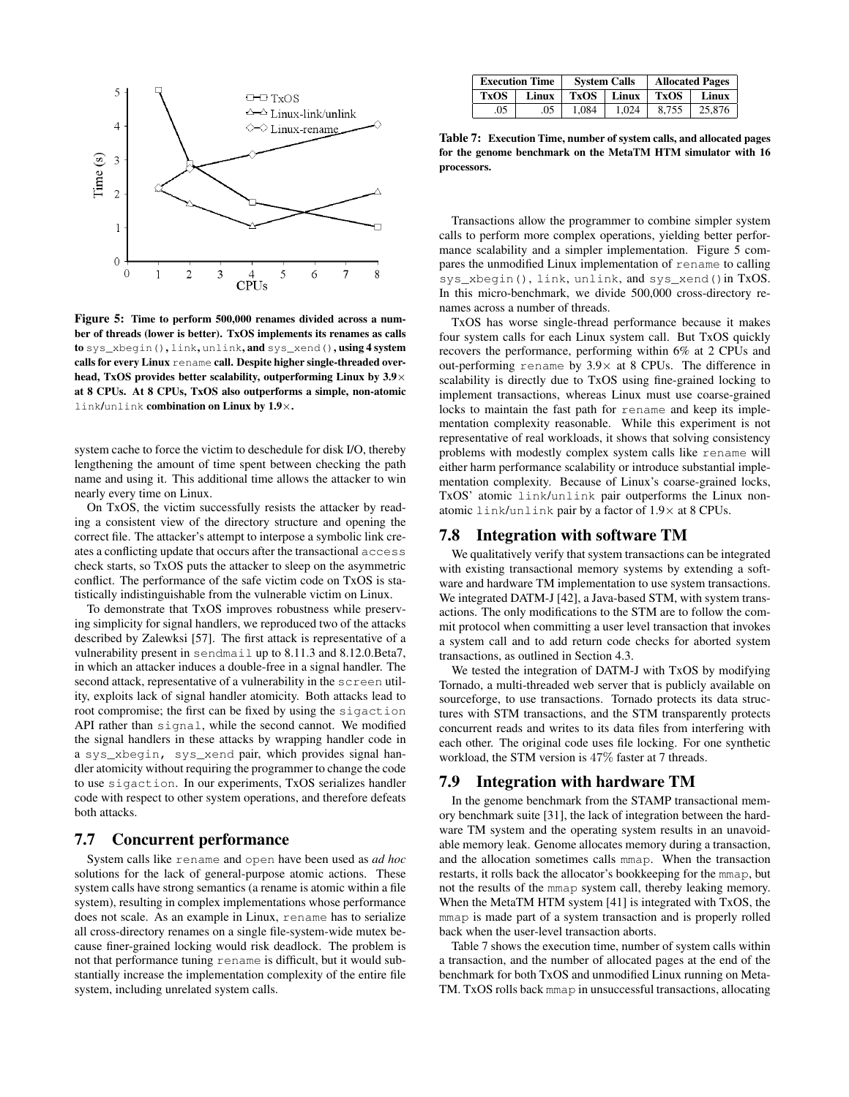

Figure 5: Time to perform 500,000 renames divided across a number of threads (lower is better). TxOS implements its renames as calls to sys\_xbegin(), link, unlink, and sys\_xend(), using 4 system calls for every Linux rename call. Despite higher single-threaded overhead, TxOS provides better scalability, outperforming Linux by  $3.9\times$ at 8 CPUs. At 8 CPUs, TxOS also outperforms a simple, non-atomic link/unlink combination on Linux by 1.9×.

system cache to force the victim to deschedule for disk I/O, thereby lengthening the amount of time spent between checking the path name and using it. This additional time allows the attacker to win nearly every time on Linux.

On TxOS, the victim successfully resists the attacker by reading a consistent view of the directory structure and opening the correct file. The attacker's attempt to interpose a symbolic link creates a conflicting update that occurs after the transactional access check starts, so TxOS puts the attacker to sleep on the asymmetric conflict. The performance of the safe victim code on TxOS is statistically indistinguishable from the vulnerable victim on Linux.

To demonstrate that TxOS improves robustness while preserving simplicity for signal handlers, we reproduced two of the attacks described by Zalewksi [57]. The first attack is representative of a vulnerability present in sendmail up to 8.11.3 and 8.12.0.Beta7, in which an attacker induces a double-free in a signal handler. The second attack, representative of a vulnerability in the screen utility, exploits lack of signal handler atomicity. Both attacks lead to root compromise; the first can be fixed by using the sigaction API rather than signal, while the second cannot. We modified the signal handlers in these attacks by wrapping handler code in a sys\_xbegin, sys\_xend pair, which provides signal handler atomicity without requiring the programmer to change the code to use sigaction. In our experiments, TxOS serializes handler code with respect to other system operations, and therefore defeats both attacks.

#### 7.7 Concurrent performance

System calls like rename and open have been used as *ad hoc* solutions for the lack of general-purpose atomic actions. These system calls have strong semantics (a rename is atomic within a file system), resulting in complex implementations whose performance does not scale. As an example in Linux, rename has to serialize all cross-directory renames on a single file-system-wide mutex because finer-grained locking would risk deadlock. The problem is not that performance tuning rename is difficult, but it would substantially increase the implementation complexity of the entire file system, including unrelated system calls.

| <b>Execution Time</b> |       |             | <b>System Calls</b> | <b>Allocated Pages</b> |        |  |
|-----------------------|-------|-------------|---------------------|------------------------|--------|--|
| <b>TxOS</b>           | Linux | <b>TxOS</b> | Linux               | <b>TxOS</b><br>Linux   |        |  |
| .05                   | .05   | 1.084       | 1.024               | 8.755                  | 25,876 |  |

Table 7: Execution Time, number of system calls, and allocated pages for the genome benchmark on the MetaTM HTM simulator with 16 processors.

Transactions allow the programmer to combine simpler system calls to perform more complex operations, yielding better performance scalability and a simpler implementation. Figure 5 compares the unmodified Linux implementation of rename to calling sys\_xbegin(), link, unlink, and sys\_xend() in TxOS. In this micro-benchmark, we divide 500,000 cross-directory renames across a number of threads.

TxOS has worse single-thread performance because it makes four system calls for each Linux system call. But TxOS quickly recovers the performance, performing within 6% at 2 CPUs and out-performing rename by  $3.9\times$  at 8 CPUs. The difference in scalability is directly due to TxOS using fine-grained locking to implement transactions, whereas Linux must use coarse-grained locks to maintain the fast path for rename and keep its implementation complexity reasonable. While this experiment is not representative of real workloads, it shows that solving consistency problems with modestly complex system calls like rename will either harm performance scalability or introduce substantial implementation complexity. Because of Linux's coarse-grained locks, TxOS' atomic link/unlink pair outperforms the Linux nonatomic link/unlink pair by a factor of 1.9× at 8 CPUs.

### 7.8 Integration with software TM

We qualitatively verify that system transactions can be integrated with existing transactional memory systems by extending a software and hardware TM implementation to use system transactions. We integrated DATM-J [42], a Java-based STM, with system transactions. The only modifications to the STM are to follow the commit protocol when committing a user level transaction that invokes a system call and to add return code checks for aborted system transactions, as outlined in Section 4.3.

We tested the integration of DATM-J with TxOS by modifying Tornado, a multi-threaded web server that is publicly available on sourceforge, to use transactions. Tornado protects its data structures with STM transactions, and the STM transparently protects concurrent reads and writes to its data files from interfering with each other. The original code uses file locking. For one synthetic workload, the STM version is 47% faster at 7 threads.

#### 7.9 Integration with hardware TM

In the genome benchmark from the STAMP transactional memory benchmark suite [31], the lack of integration between the hardware TM system and the operating system results in an unavoidable memory leak. Genome allocates memory during a transaction, and the allocation sometimes calls mmap. When the transaction restarts, it rolls back the allocator's bookkeeping for the mmap, but not the results of the mmap system call, thereby leaking memory. When the MetaTM HTM system [41] is integrated with TxOS, the mmap is made part of a system transaction and is properly rolled back when the user-level transaction aborts.

Table 7 shows the execution time, number of system calls within a transaction, and the number of allocated pages at the end of the benchmark for both TxOS and unmodified Linux running on Meta-TM. TxOS rolls back mmap in unsuccessful transactions, allocating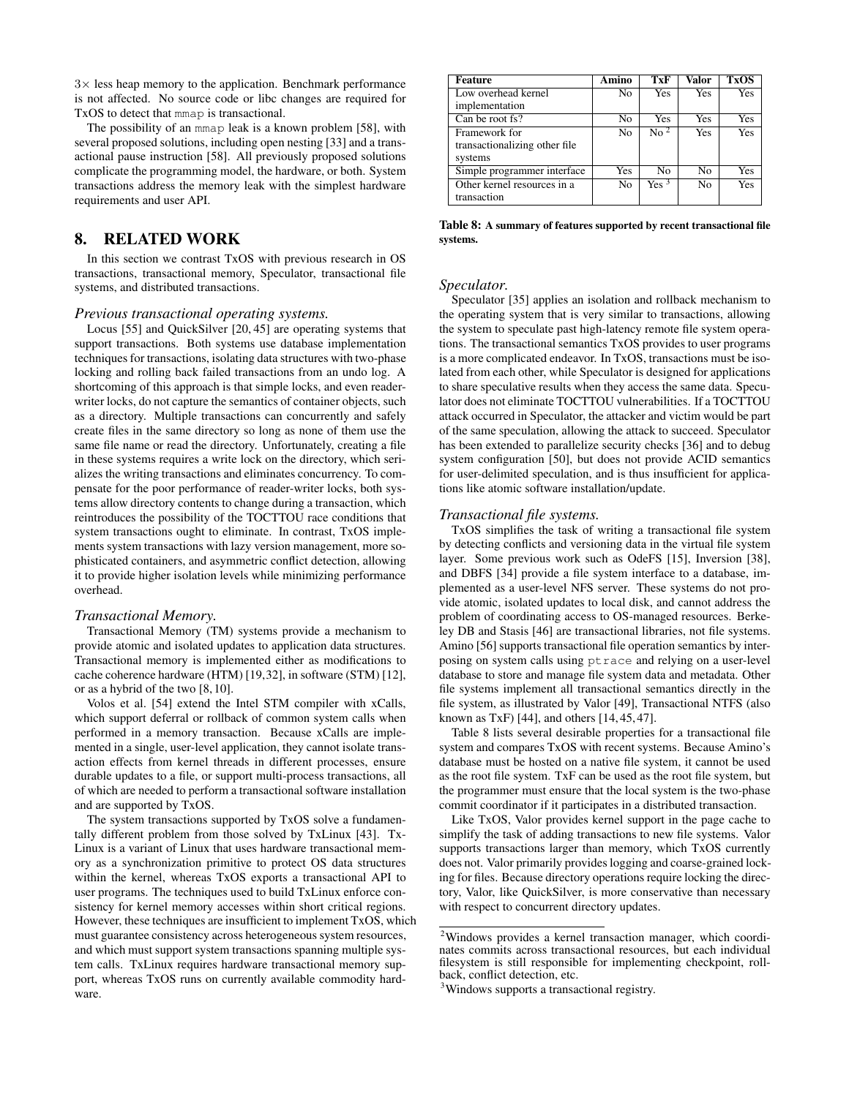$3\times$  less heap memory to the application. Benchmark performance is not affected. No source code or libc changes are required for TxOS to detect that mmap is transactional.

The possibility of an mmap leak is a known problem [58], with several proposed solutions, including open nesting [33] and a transactional pause instruction [58]. All previously proposed solutions complicate the programming model, the hardware, or both. System transactions address the memory leak with the simplest hardware requirements and user API.

# 8. RELATED WORK

In this section we contrast TxOS with previous research in OS transactions, transactional memory, Speculator, transactional file systems, and distributed transactions.

#### *Previous transactional operating systems.*

Locus [55] and QuickSilver [20, 45] are operating systems that support transactions. Both systems use database implementation techniques for transactions, isolating data structures with two-phase locking and rolling back failed transactions from an undo log. A shortcoming of this approach is that simple locks, and even readerwriter locks, do not capture the semantics of container objects, such as a directory. Multiple transactions can concurrently and safely create files in the same directory so long as none of them use the same file name or read the directory. Unfortunately, creating a file in these systems requires a write lock on the directory, which serializes the writing transactions and eliminates concurrency. To compensate for the poor performance of reader-writer locks, both systems allow directory contents to change during a transaction, which reintroduces the possibility of the TOCTTOU race conditions that system transactions ought to eliminate. In contrast, TxOS implements system transactions with lazy version management, more sophisticated containers, and asymmetric conflict detection, allowing it to provide higher isolation levels while minimizing performance overhead.

#### *Transactional Memory.*

Transactional Memory (TM) systems provide a mechanism to provide atomic and isolated updates to application data structures. Transactional memory is implemented either as modifications to cache coherence hardware (HTM) [19,32], in software (STM) [12], or as a hybrid of the two [8, 10].

Volos et al. [54] extend the Intel STM compiler with xCalls, which support deferral or rollback of common system calls when performed in a memory transaction. Because xCalls are implemented in a single, user-level application, they cannot isolate transaction effects from kernel threads in different processes, ensure durable updates to a file, or support multi-process transactions, all of which are needed to perform a transactional software installation and are supported by TxOS.

The system transactions supported by TxOS solve a fundamentally different problem from those solved by TxLinux [43]. Tx-Linux is a variant of Linux that uses hardware transactional memory as a synchronization primitive to protect OS data structures within the kernel, whereas TxOS exports a transactional API to user programs. The techniques used to build TxLinux enforce consistency for kernel memory accesses within short critical regions. However, these techniques are insufficient to implement TxOS, which must guarantee consistency across heterogeneous system resources, and which must support system transactions spanning multiple system calls. TxLinux requires hardware transactional memory support, whereas TxOS runs on currently available commodity hardware.

| <b>Feature</b>                | Amino | TxF              | Valor | <b>TxOS</b> |
|-------------------------------|-------|------------------|-------|-------------|
| Low overhead kernel           | No    | Yes              | Yes   | <b>Yes</b>  |
| implementation                |       |                  |       |             |
| Can be root fs?               | No    | Yes              | Yes   | Yes         |
| Framework for                 | No    | $\mathrm{No}^2$  | Yes   | <b>Yes</b>  |
| transactionalizing other file |       |                  |       |             |
| systems                       |       |                  |       |             |
| Simple programmer interface   | Yes   | No               | No    | Yes         |
| Other kernel resources in a   | No    | Yes <sup>3</sup> | No    | Yes         |
| transaction                   |       |                  |       |             |

Table 8: A summary of features supported by recent transactional file systems.

#### *Speculator.*

Speculator [35] applies an isolation and rollback mechanism to the operating system that is very similar to transactions, allowing the system to speculate past high-latency remote file system operations. The transactional semantics TxOS provides to user programs is a more complicated endeavor. In TxOS, transactions must be isolated from each other, while Speculator is designed for applications to share speculative results when they access the same data. Speculator does not eliminate TOCTTOU vulnerabilities. If a TOCTTOU attack occurred in Speculator, the attacker and victim would be part of the same speculation, allowing the attack to succeed. Speculator has been extended to parallelize security checks [36] and to debug system configuration [50], but does not provide ACID semantics for user-delimited speculation, and is thus insufficient for applications like atomic software installation/update.

#### *Transactional file systems.*

TxOS simplifies the task of writing a transactional file system by detecting conflicts and versioning data in the virtual file system layer. Some previous work such as OdeFS [15], Inversion [38], and DBFS [34] provide a file system interface to a database, implemented as a user-level NFS server. These systems do not provide atomic, isolated updates to local disk, and cannot address the problem of coordinating access to OS-managed resources. Berkeley DB and Stasis [46] are transactional libraries, not file systems. Amino [56] supports transactional file operation semantics by interposing on system calls using ptrace and relying on a user-level database to store and manage file system data and metadata. Other file systems implement all transactional semantics directly in the file system, as illustrated by Valor [49], Transactional NTFS (also known as TxF) [44], and others [14, 45, 47].

Table 8 lists several desirable properties for a transactional file system and compares TxOS with recent systems. Because Amino's database must be hosted on a native file system, it cannot be used as the root file system. TxF can be used as the root file system, but the programmer must ensure that the local system is the two-phase commit coordinator if it participates in a distributed transaction.

Like TxOS, Valor provides kernel support in the page cache to simplify the task of adding transactions to new file systems. Valor supports transactions larger than memory, which TxOS currently does not. Valor primarily provides logging and coarse-grained locking for files. Because directory operations require locking the directory, Valor, like QuickSilver, is more conservative than necessary with respect to concurrent directory updates.

<sup>2</sup>Windows provides a kernel transaction manager, which coordinates commits across transactional resources, but each individual filesystem is still responsible for implementing checkpoint, rollback, conflict detection, etc.

<sup>&</sup>lt;sup>3</sup>Windows supports a transactional registry.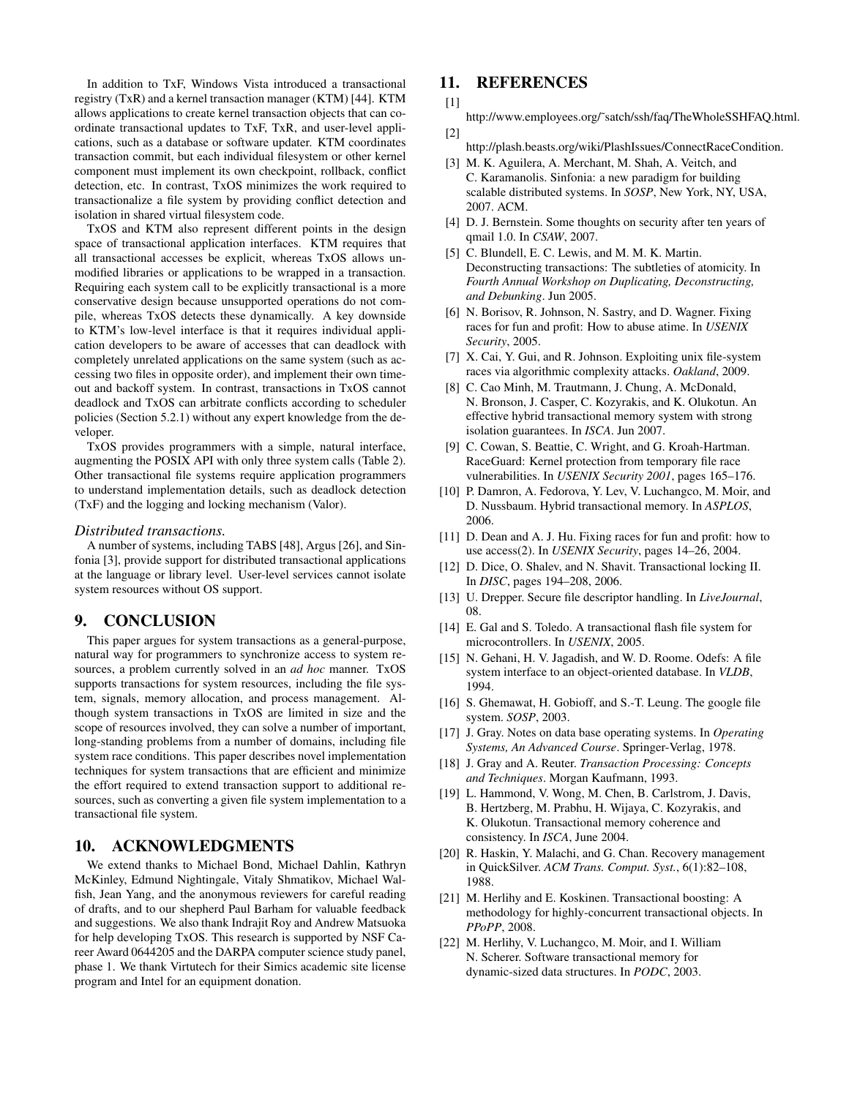In addition to TxF, Windows Vista introduced a transactional registry (TxR) and a kernel transaction manager (KTM) [44]. KTM allows applications to create kernel transaction objects that can coordinate transactional updates to TxF, TxR, and user-level applications, such as a database or software updater. KTM coordinates transaction commit, but each individual filesystem or other kernel component must implement its own checkpoint, rollback, conflict detection, etc. In contrast, TxOS minimizes the work required to transactionalize a file system by providing conflict detection and isolation in shared virtual filesystem code.

TxOS and KTM also represent different points in the design space of transactional application interfaces. KTM requires that all transactional accesses be explicit, whereas TxOS allows unmodified libraries or applications to be wrapped in a transaction. Requiring each system call to be explicitly transactional is a more conservative design because unsupported operations do not compile, whereas TxOS detects these dynamically. A key downside to KTM's low-level interface is that it requires individual application developers to be aware of accesses that can deadlock with completely unrelated applications on the same system (such as accessing two files in opposite order), and implement their own timeout and backoff system. In contrast, transactions in TxOS cannot deadlock and TxOS can arbitrate conflicts according to scheduler policies (Section 5.2.1) without any expert knowledge from the developer.

TxOS provides programmers with a simple, natural interface, augmenting the POSIX API with only three system calls (Table 2). Other transactional file systems require application programmers to understand implementation details, such as deadlock detection (TxF) and the logging and locking mechanism (Valor).

#### *Distributed transactions.*

A number of systems, including TABS [48], Argus [26], and Sinfonia [3], provide support for distributed transactional applications at the language or library level. User-level services cannot isolate system resources without OS support.

# 9. CONCLUSION

This paper argues for system transactions as a general-purpose, natural way for programmers to synchronize access to system resources, a problem currently solved in an *ad hoc* manner. TxOS supports transactions for system resources, including the file system, signals, memory allocation, and process management. Although system transactions in TxOS are limited in size and the scope of resources involved, they can solve a number of important, long-standing problems from a number of domains, including file system race conditions. This paper describes novel implementation techniques for system transactions that are efficient and minimize the effort required to extend transaction support to additional resources, such as converting a given file system implementation to a transactional file system.

# 10. ACKNOWLEDGMENTS

We extend thanks to Michael Bond, Michael Dahlin, Kathryn McKinley, Edmund Nightingale, Vitaly Shmatikov, Michael Walfish, Jean Yang, and the anonymous reviewers for careful reading of drafts, and to our shepherd Paul Barham for valuable feedback and suggestions. We also thank Indrajit Roy and Andrew Matsuoka for help developing TxOS. This research is supported by NSF Career Award 0644205 and the DARPA computer science study panel, phase 1. We thank Virtutech for their Simics academic site license program and Intel for an equipment donation.

# 11. REFERENCES

#### [1]

http://www.employees.org/˜satch/ssh/faq/TheWholeSSHFAQ.html. [2]

- http://plash.beasts.org/wiki/PlashIssues/ConnectRaceCondition.
- [3] M. K. Aguilera, A. Merchant, M. Shah, A. Veitch, and C. Karamanolis. Sinfonia: a new paradigm for building scalable distributed systems. In *SOSP*, New York, NY, USA, 2007. ACM.
- [4] D. J. Bernstein. Some thoughts on security after ten years of qmail 1.0. In *CSAW*, 2007.
- [5] C. Blundell, E. C. Lewis, and M. M. K. Martin. Deconstructing transactions: The subtleties of atomicity. In *Fourth Annual Workshop on Duplicating, Deconstructing, and Debunking*. Jun 2005.
- [6] N. Borisov, R. Johnson, N. Sastry, and D. Wagner. Fixing races for fun and profit: How to abuse atime. In *USENIX Security*, 2005.
- [7] X. Cai, Y. Gui, and R. Johnson. Exploiting unix file-system races via algorithmic complexity attacks. *Oakland*, 2009.
- [8] C. Cao Minh, M. Trautmann, J. Chung, A. McDonald, N. Bronson, J. Casper, C. Kozyrakis, and K. Olukotun. An effective hybrid transactional memory system with strong isolation guarantees. In *ISCA*. Jun 2007.
- [9] C. Cowan, S. Beattie, C. Wright, and G. Kroah-Hartman. RaceGuard: Kernel protection from temporary file race vulnerabilities. In *USENIX Security 2001*, pages 165–176.
- [10] P. Damron, A. Fedorova, Y. Lev, V. Luchangco, M. Moir, and D. Nussbaum. Hybrid transactional memory. In *ASPLOS*, 2006.
- [11] D. Dean and A. J. Hu. Fixing races for fun and profit: how to use access(2). In *USENIX Security*, pages 14–26, 2004.
- [12] D. Dice, O. Shalev, and N. Shavit. Transactional locking II. In *DISC*, pages 194–208, 2006.
- [13] U. Drepper. Secure file descriptor handling. In *LiveJournal*, 08.
- [14] E. Gal and S. Toledo. A transactional flash file system for microcontrollers. In *USENIX*, 2005.
- [15] N. Gehani, H. V. Jagadish, and W. D. Roome. Odefs: A file system interface to an object-oriented database. In *VLDB*, 1994.
- [16] S. Ghemawat, H. Gobioff, and S.-T. Leung. The google file system. *SOSP*, 2003.
- [17] J. Gray. Notes on data base operating systems. In *Operating Systems, An Advanced Course*. Springer-Verlag, 1978.
- [18] J. Gray and A. Reuter. *Transaction Processing: Concepts and Techniques*. Morgan Kaufmann, 1993.
- [19] L. Hammond, V. Wong, M. Chen, B. Carlstrom, J. Davis, B. Hertzberg, M. Prabhu, H. Wijaya, C. Kozyrakis, and K. Olukotun. Transactional memory coherence and consistency. In *ISCA*, June 2004.
- [20] R. Haskin, Y. Malachi, and G. Chan. Recovery management in QuickSilver. *ACM Trans. Comput. Syst.*, 6(1):82–108, 1988.
- [21] M. Herlihy and E. Koskinen. Transactional boosting: A methodology for highly-concurrent transactional objects. In *PPoPP*, 2008.
- [22] M. Herlihy, V. Luchangco, M. Moir, and I. William N. Scherer. Software transactional memory for dynamic-sized data structures. In *PODC*, 2003.